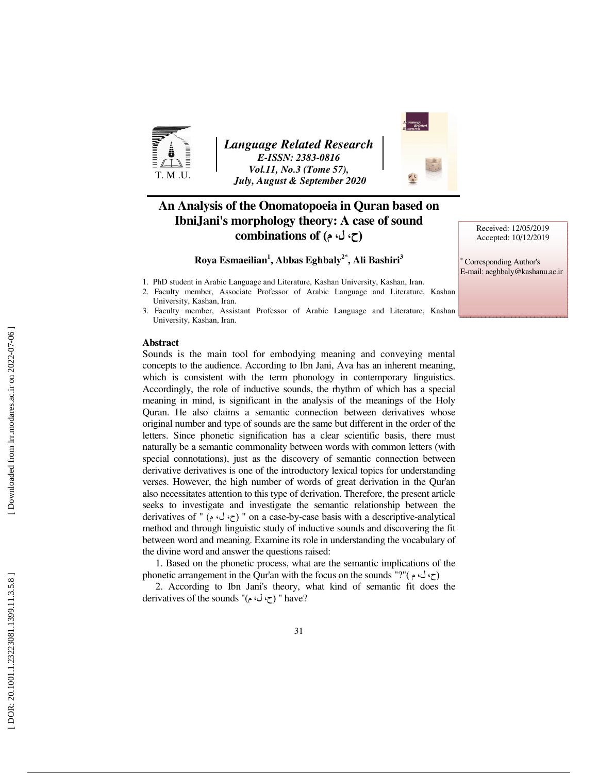

*Language Related Research E-ISSN: 2383-0816 Vol.11, No.3 (Tome 57), July, August & September 2020* 



## **An Analysis of the Onomatopoeia in Quran based on IbniJani's morphology theory: A case of sound**  (ح، ل، م) **of combinations**

## **Roya Esmaeilian 1 , Abbas Eghbaly2\*, Ali Bashiri 3**

- 1. PhD student in Arabic Language and Literature, Kashan University, Kashan, Iran.
- 2. Faculty member, Associate Professor of Arabic Language and Literature, Kashan University, Kashan, Iran.
- 3. Faculty member, Assistant Professor of Arabic Language and Literature, Kashan University, Kashan, Iran.

### **Abstract**

Sounds is the main tool for embodying meaning and conveying mental concepts to the audience. According to Ibn Jani, Ava has an inherent meaning, which is consistent with the term phonology in contemporary linguistics. Accordingly, the role of inductive sounds, the rhythm of which has a special meaning in mind, is significant in the analysis of the meanings of the Holy Quran. He also claims a semantic connection between derivatives whose original number and type of sounds are the same but different in the order of the letters. Since phonetic signification has a clear scientific basis, there must naturally be a semantic commonality between words with common letters (with special connotations), just as the discovery of semantic connection between derivative derivatives is one of the introductory lexical topics for understanding verses. However, the high number of words of great derivation in the Qur'an also necessitates attention to this type of derivation. Therefore, the present article seeks to investigate and investigate the semantic relationship between the derivatives of " (ح، ل، ح) " on a case-by-case basis with a descriptive-analytical method and through linguistic study of inductive sounds and discovering the fit between word and meaning. Examine its role in understanding the vocabulary of the divine word and answer the questions raised:

1. Based on the phonetic process, what are the semantic implications of the phonetic arrangement in the Qur'an with the focus on the sounds "?" ( $\sim$ )

2. According to Ibn Jani's theory, what kind of semantic fit does the derivatives of the sounds "(ح، ل، م)" have?

Received: 12/05/2019 Accepted: 10/12/2019

∗ Corresponding Author's E-mail: aeghbaly@kashanu.ac.ir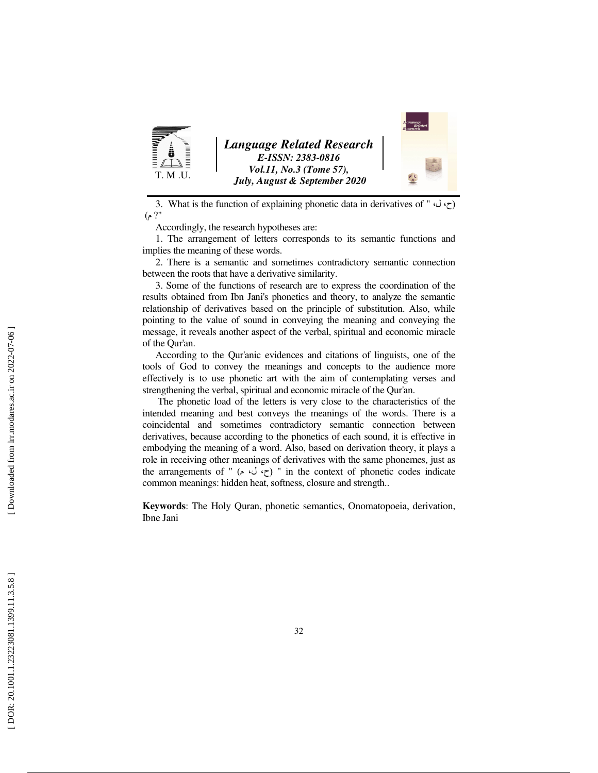

3. What is the function of explaining phonetic data in derivatives of "  $\psi$ ) م "? )

Accordingly, the research hypotheses are:

1. The arrangement of letters corresponds to its semantic functions and implies the meaning of these words.

2. There is a semantic and sometimes contradictory semantic connection between the roots that have a derivative similarity.

3. Some of the functions of research are to express the coordination of the results obtained from Ibn Jani's phonetics and theory, to analyze the semantic relationship of derivatives based on the principle of substitution. Also, while pointing to the value of sound in conveying the meaning and conveying the message, it reveals another aspect of the verbal, spiritual and economic miracle of the Qur'an.

According to the Qur'anic evidences and citations of linguists, one of the tools of God to convey the meanings and concepts to the audience more effectively is to use phonetic art with the aim of contemplating verses and strengthening the verbal, spiritual and economic miracle of the Qur'an.

 The phonetic load of the letters is very close to the characteristics of the intended meaning and best conveys the meanings of the words. There is a coincidental and sometimes contradictory semantic connection between derivatives, because according to the phonetics of each sound, it is effective in embodying the meaning of a word. Also, based on derivation theory, it plays a role in receiving other meanings of derivatives with the same phonemes, just as the arrangements of " (ح، ل، م) " in the context of phonetic codes indicate common meanings: hidden heat, softness, closure and strength..

**Keywords**: The Holy Quran, phonetic semantics, Onomatopoeia, derivation, Ibne Jani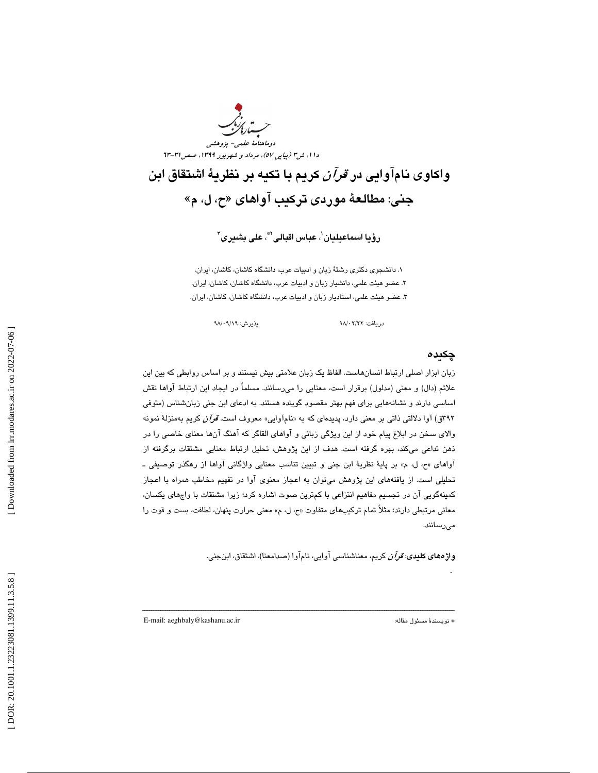

واكاوى نامآوايي در *قرآن* كريم با تكيه بر نظرية اشتقاق ابن جني: مطالعة موردي تركيب آواهاي «ح، ل، م »

رؤيا اسماعيليان`، عباس اقبالى<sup>™</sup>، على بشيرى<sup>۳</sup>

1. دانشجوي دكتري رشتة زبان و ادبيات عرب، دانشگاه كاشان، كاشان، ايران. ٢. عضو هيئت علمي، دانشيار زبان و ادبيات عرب، دانشگاه كاشان، كاشان، ايران. ٣. عضو هيئت علمي، استاديار زبان و ادبيات عرب، دانشگاه كاشان، كاشان، ايران.

دريافت: ٢/٢٢ /٩٨

## چكيده

زبان ابزار اصلی ارتباط انسانهاست. الفاظ یک زبان علامتی بیش نیستند و بر اساس روابطی که بین این علائم (دال) و معنى (مدلول) برقرار است، معنايي را مىرسانند. مسلماً در ايجاد اين ارتباط اواها نقش اساسی دارند و نشانههایی برای فهم بهتر مقصود گوینده هستند. به ادعای ابن جنی زبانشناس (متوفی ٣٩٢ق) آوا دلالتي ذاتي بر معنى دارد، پديدهاي كه به «نامآوايي» معروف است. ق*وآن* كريم بهمنزلهٔ نمونه والاي سخن در ابلاغ پيام خود از اين ويژگي زباني و آواهاي القاگر كه آهنگ آنها معناي خاصـي را در ذهن تداعی میکند، بهره گرفته است. هدف از این پژوهش، تحلیل ارتباط معنایی مشتقات برگرفته از آواهاي «ح، ل، م» بر پايهٔ نظريهٔ ابن جني و تبيين تناسب معنايي واژگاني آواها از رهگذر توصيفي ـ تحلیلی است. از یافتههای این پژوهش میتوان به اعجاز معنوی اوا در تفهیم مخاطب همراه با اعجاز كمينهگويي آن در تجسيم مفاهيم انتزاعي با كمترين صوت اشاره كرد؛ زيرا مشتقات با واجهاي يكسان، معاني مرتبطي دارند؛ مثلاً تمام تركيبهاي متفاوت «ح، ل، م» معنى حرارت پنهان، لطافت، بست و قوت را رسانند . مي

ــــــــــــــــــــــــــــــــــــــــــــــــــــــــــــــــــــــــــــــــــــــــــــــــــــــــــــــــــــــــــــــــــــــــــ

**واژههاي كليدي: قرآن** كريم، معناشناسي آوايي، نامآوا (صدامعنا)، اشتقاق، ابنجني.

E-mail: aeghbaly@kashanu.ac.ir :مقاله مسئول نويسندة\*

.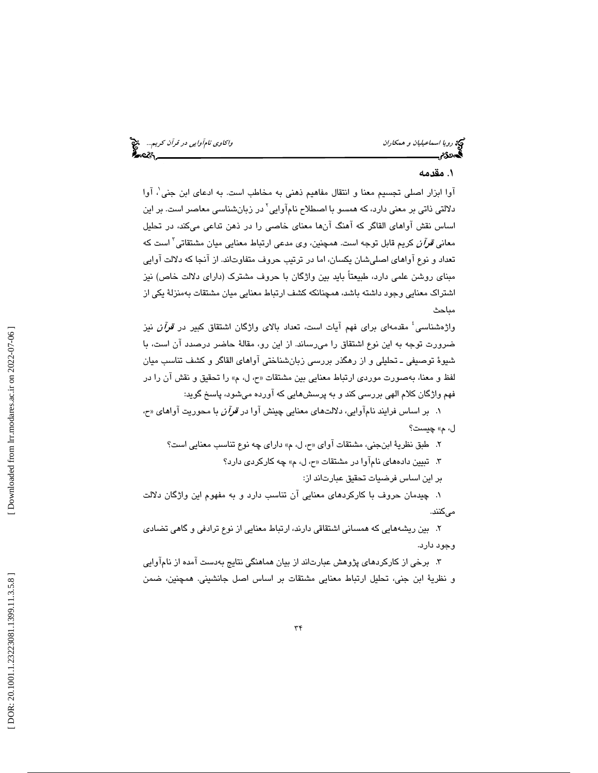رويا اسماعيليان و همكاران واكاوي نامآوايي در قرآن كريم... وي نامج المواري نامآوايي در قرآن كريم... وي نامج الم<br>المجموع الموارد واكاد الموارد الموارد الموارد والموارد والموارد والموارد والموارد والموارد والموارد والموارد و

## . 1 مقدمه

آوا ابزار اصلی تجسیم معنا و انتقال مفاهیم ذهنی به مخاطب است. به ادعای ابن جنی'. آوا دلالتی ذاتی بر معنی دارد، که همسو با اصطلاح نامآوایی<sup>٬</sup> در زبانشناسی معاصر است. بر این اساس نقش اواهای القاگر که اهنگ آنها معنای خاصی را در ذهن تداعی میکند، در تحلیل معان*ی قرآن* کریم قابل توجه است. همچنین، وی مدعی ارتباط معنایی میان مشتقاتی<sup>۳</sup> است که تعداد و نوع آواهاي اصلي شان يكسان، اما در ترتيب حروف متفاوتاند. از آنجا كه دلالت آوايي مبنای روشن علمی دارد، طبیعتاً باید بین واژگان با حروف مشترک (دارای دلالت خاص) نیز اشتراک معنايي وجود داشته باشد، همچنانکه کشف ارتباط معنايي ميان مشتقات بهمنزلهٔ يکي از مباحث

واژهشناسی<sup>؛</sup> مقدمهای برای فهم آیات است، تعداد بالای واژگان اشتقاق كبير در *قرآن* نيز ضرورت توجه به اين نوع اشتقاق را مىرساند. از اين رو، مقالهٔ حاضر درصدد ان است، با شيوهٔ توصيفي ـ تحليلي و از رهگذر بررسي زبانشناختي آواهاي القاگر و كشف تناسب ميان لفظ و معنا، بهصورت موردى ارتباط معنايي بين مشتقات «ح، ل، م» را تحقيق و نقش ان را در فهم واژگان كلام الهی بررسی كند و به پرسشهایی كه اورده میشود، پاسخ گوید:

1. بر اساس فرايند نامآوايي، دلالتهاي معنايي چينش آوا در قرآن با محوريت آواهاي « ح، ل، م» چيست؟

2. طبق نظرية ابنجني، مشتقات آواي « »م ل، ح، داراي چه نوع تناسب معنايي است؟

3. تبيين دادههاي نام آوا در مشتقات « »م ل، ح، چه كاركردي دارد؟

بر اين اساس فرضيات تحقيق عبارتاند از:

1. چيدمان حروف با كاركردهاي معنايي آن تناسب دارد به و مفهوم اين واژگان دلالت مے كنند.

وجود دارد. 2. بين ريشههايي كه همساني اشتقاقي دارند، ارتباط معنايي از نوع ترادفي و گاهي تضادي

3. برخي از كاركردهاي پژوهش عبارت از اند بيان هماهنگي نتايج به دست آمده از نامآوايي و نظرية ابن جني، تحليل ارتباط معنايي مشتقات بر اساس اصل جانشيني. همچنين، ضمن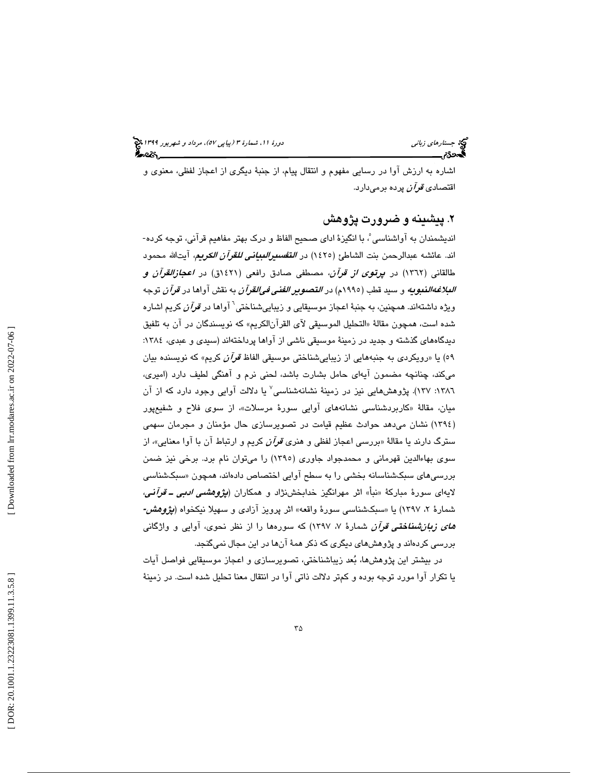اشاره به ارزش آوا در رسايي مفهوم و انتقال پيام، از جنبهٔ ديگری از اعجاز لفظی، معنوی و<br>اقتصاد*ی قرآن* پرده برم<sub>ی</sub>دارد.

## ۲. ييشينه و ضرورت يژوهش

5، با انگيزة اداي صحيح الفاظ و درك بهتر مفاهيم قرآني، توجه كرده- اند. عائشه عبدالرحمن بنت الشاطئ (١٤٢٥) در *التفسيرالبياني للقرآن الكريم*، آيتالله محمود طالقانی (۱۳٦۲) در *پرتوی از قرآن*، مصطفی صادق رافعی (۱٤٢۱ق) در *اعجازالقرآن و البلاغهالنبويه* و سيد قطب (١٩٩٥م) در *التصوير الفني في|لقرآن* به نقش آواها در *قرآن* توجه ویژه داشتهاند. همچنین، به جنبهٔ اعجاز موسیقایی و زیباییشناختی<sup>٦</sup> آوا*ه*ا در *قرآن* کریم اشاره شده است، همچون مقالهٔ «التحليل الموسيقي لآي القرآنالكريم» كه نويسندگان در آن به تلفيق ديدگاههاي گذشته و جديد در زمينهٔ موسيقي ناشي از آواها پرداختهاند (سيدي و عبدي، ١٣٨٤: ٥٩) يا «رويكردي به جنبههايي از زيباييشناختي موسيقي الفاظ *قرآن* كريم» كه نويسنده بيان میکند، چنانچه مضمون ایهای حامل بشارت باشد، لحنی نرم و اهنگی لطیف دارد (امیری، ۱۳۸٦: ۱۳۷). پژوهش،هایی نیز در زمینهٔ نشانهشناسی<sup>٬</sup> یا دلالت آوایی وجود دارد که از آن میان، مقالهٔ «کاربردشناسی نشانههای اوایی سورهٔ مرسلات»، از سوی فلاح و شفیعپور 1394) نشان ميدهد حوادث عظيم قيامت در تصويرسازي حال مؤمنان و مجرمان سهمي ) سترگ دارند يا مقالهٔ «بررسي اعجاز لفظي و هنري *قرآن* كريم و ارتباط آن با آوا معنايي»، از سوی بهاءالدین قهرمانی و محمدجواد جاوری (١٣٩٥) را میتوان نام برد. برخی نیز ضمن بررسی۱های سبکشناسانه بخشی را به سطح اوایی اختصاص دادهاند، همچون «سبکشناسی لايهای سورهٔ مباركهٔ «نبأ» اثر مهرانگيز خدابخشنژاد و همكاران (*پژوهشمی ادبی ـ قرآنی،* شمارهٔ ۲، ۱۳۹۷) یا «سبکشناسی سورهٔ واقعه» اثر پرویز ازا*دی* و سهیلا نیکخواه (*پژوهش-های زبازشناختی قرآن* شمارهٔ ۷، ۱۳۹۷) که سورهها را از نظر نحوی، آوایی و واژگانی بررسی کردهاند و پژوهش های دیگری که ذکر همهٔ ان ها در این مجال نمیگنجد.

در بيشتر اين پژوهشها، بُعد زيباشناختي، تصويرسازي و اعجاز موسيقايي فواصل آيات يا تكرار آوا مورد توجه بوده و كمتر دلالت ذاتي آوا در انتقال معنا تحليل شده است. در زمينهٔ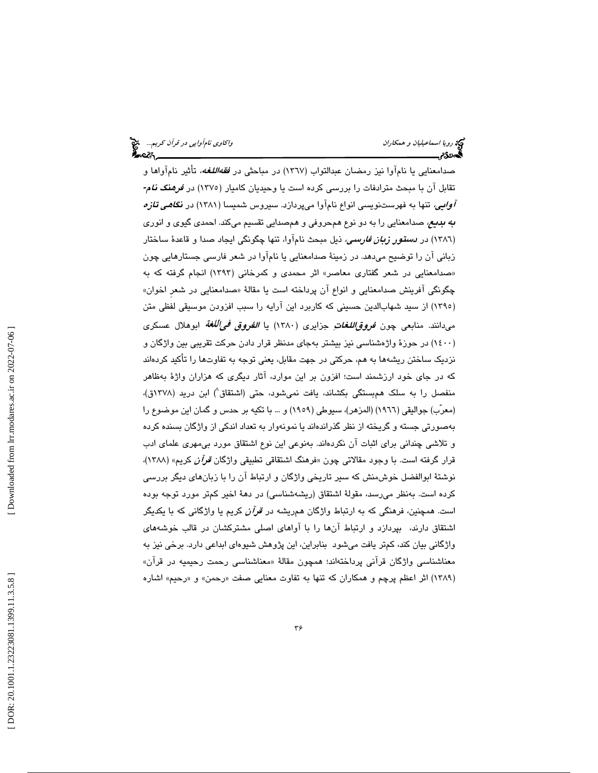صدامعنايي يا نامآوا نيز رمضان عبدالتواب (١٣٦٧) در مباحث*ي در فقهاللغه،* تأثير نامآواها و تقابل آن با مبحث مترادفات را بررسي كرده است يا وحيديان كاميار (1375) در فرهنگ نام**-**  آوايي، تنها به فهرستنويسي انواع نامآوا ميپردازد. سيروس شميسا (1381) در نگاهي تازه *به بديع،* صدامعنايي را به دو نوع همحروفي و همصدايي تقسيم ميكند. احمدي گيوي و انوري (١٣٨٦) در *دستور زبان فارسی،* ذیل مبحث نام۱وا، تنها چگونگی ایجاد صدا و قاعدهٔ ساختار زباني آن را توضيح ميدهد. در زمينهٔ صدامعنايي يا نامآوا در شعر فارسی جستارهايي چون «صدامعنايي در شعر گفتاری معاصر» اثر محمدی و کمرخانی (۱۳۹۳) انجام گرفته که به چگونگی افرینش صدامعنایی و انواع ان پرداخته است یا مقالهٔ «صدامعنایی در شعر اخوان» (١٣٩٥) از سيد شهابالدين حسيني كه كاربرد اين ارايه را سبب افزودن موسيقى لفظى متن مىدانند. منابعى چون *فروق اللغات ِ* جزايرى (١٣٨٠) يا *الفروق فى|للغة* ابوهلال عسكرى (١٤٠٠) در حوزهٔ واژهشناسي نيز بيشتر بهجای مدنظر قرار دادن حرکت تقريبي بين واژگان و نزديك ساختن ريشهها به هم، حركتي در جهت مقابل، يعني توجه به تفاوتها را تأكيد كردهاند كه در جاي خود ارزشمند است؛ افزون بر اين موارد، آثار ديگري كه هزاران واژهٔ بهظاهر منفصل را به سلک همبستگی بکشاند، یافت نمیشود، حتی (اشتقاق<sup>۸</sup>) ابن درید (۱۳۷۸ق)، (معرّب) جواليقي (1966) (المزهر)، سيوطي (1959) و ... با تكيه بر حدس و گمان اين موضوع را بهصورتي جسته و گريخته از نظر گذراندهاند يا نمونهوار به تعداد اندكي از واژگان بسنده كرده و تلاشي چنداني براي اثبات آن نكردهاند. به نوعي اين نوع اشتقاق مورد بيمهري علماي ادب قرار گرفته است. با وجود مقالاتی چون «فرهنگ اشتقاقی تطبیقی واژگان *قرآن* کریم» (۱۳۸۸)، نوشتهٔ ابوالفضل خوش،منش كه سير تاريخي واژگان و ارتباط آن را با زبانهای ديگر بررسي كرده است. بەنظر مىرسد، مقولهٔ اشتقاق (ریشەشناسی) در دههٔ اخیر کمتر مورد توجه بوده است. همچنین، فرهنگی كه به ارتباط واژگان همریشه در *قرآن* كریم یا واژگانی كه با یكدیگر اشتقاق دارند، بپردازد و ارتباط انها را با اواهای اصلی مشترکشان در قالب خوشههای واژگانی بیان كند، كمتر یافت میشود بنابراین، این پژوهش شیوهای ابداعی دارد. برخی نیز به معناشناسی واژگان قرانی پرداختهاند؛ همچون مقالهٔ «معناشناسی رحمت رحیمیه در قران» (۱۳۸۹) اثر اعظم پرچم و همكاران كه تنها به تفاوت معنايي صفت «رحمن» و «رحيم» اشاره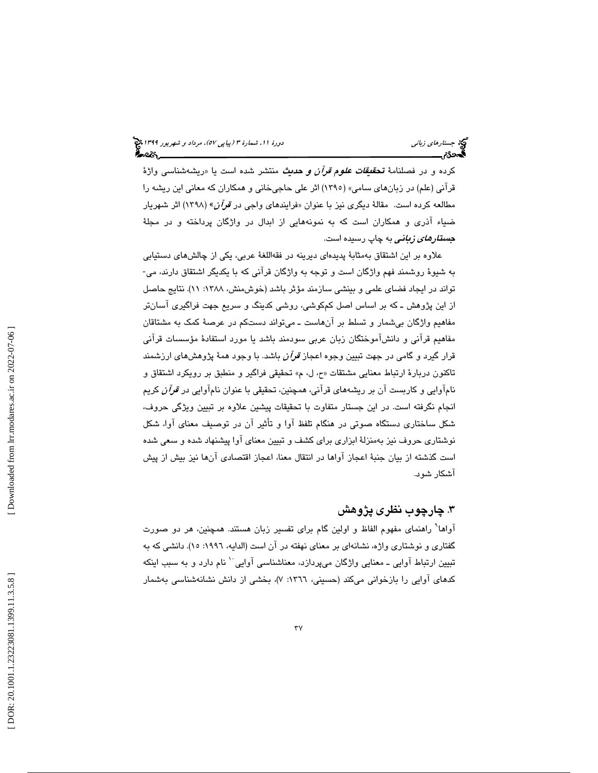كرده و در فصلنامهٔ **تحق***یقات علوم قرآن و حدی***ث** منتشر شده است یا «ریشهشناسی واژهٔ قرآني (علم) در زبانهاي سامي» (1395) اثر علي حاجيخاني و همكاران كه معاني اين ريشه را مطالعه کرده است. مقالهٔ دیگری نیز با عنوان «فرایندهای واجی در ق*وآن*» (۱۳۹۸) اثر شهریار ضياء آذري و همكاران است كه به نمونههايي از ابدال در واژگان پرداخته و در مجلة *جستارهای زبانی ب*ه چاپ رسیده است.

علاوه بر اين اشتقاق بهمثابهٔ پديدهای ديرينه در فقهاللغهٔ عربی، يکی از چالشهای دستيابی<br>به شيوهٔ روشمند فهم واژگان است و توجه به واژگان قرآنی که با يکديگر اشتقاق دارند، می-تواند در ايجاد فضاي علمي و بينشي سازمند مؤثر باشد (خوش منش، ١٣٨٨: ١١). نتايج حاصل از اين پژوهش ـ كه بر اساس اصل كمكوشي، روشي كدينگ و سريع جهت فراگيري آسانتر مفاهيم واژگان بي شمار و تسلط بر آنهاست ــ مي تواند دستكم در عرصهٔ كمک به مشتاقان مفاهيم قرآني و دانشآموختگان زبان عربي سودمند باشد يا مورد استفادة مؤسسات قرآني قرار گيرد و گامی در جهت تبيين وجوه اعجاز *قرآن* باشد. با وجود همهٔ پژوهشهای ارزشمند تاكنون دربارهٔ ارتباط معنايي مشتقات «ح، ل، م» تحقيقي فراگير و منطبق بر رويكرد اشتقاق و نامآوايي و كاربست آن بر ريشههاي قرآني، همچنين، تحقيقي با عنوان نامآوايي در *قرآن* كريم انجام نگرفته است. در اين جستار متفاوت با تحقيقات پيشين علاوه بر تبيين ويژگي حروف، شكل ساختاری دستگاه صوتی در هنگام تلفظ اوا و تاثیر ان در توصیف معنای اوا، شكل نوشتاری حروف نيز بهمنزلهٔ ابزاری برای کشف و تبيين معنای آوا پيشنهاد شده و سعی شده<br>است گذشته از بيان جنبهٔ اعجاز آواها در انتقال معنا، اعجاز اقتصادی آنها نيز بيش از پيش آشكار شود .

## . 3 چارچوب نظر ي پژوهش

آواها 9 راهنماي مفهوم الفاظ و اولين گام براي تفسير زبان هستند. همچنين، هر دو صورت گفتاري و نوشتاري واژه، نشانهاي بر معناي نهفته در آن است (الدايه، :1996 15). دانشي كه به تبيين ارتباط آوايي ــ معنايي واژگان ميپردازد، معناشناسي آوايي `` نام دارد و به سبب اينكه کدهای آوايی را بازخوانی میکند (حسینی، ١٣٦٦: ۷)، بخشی از دانش نشانهشناسی بهشمار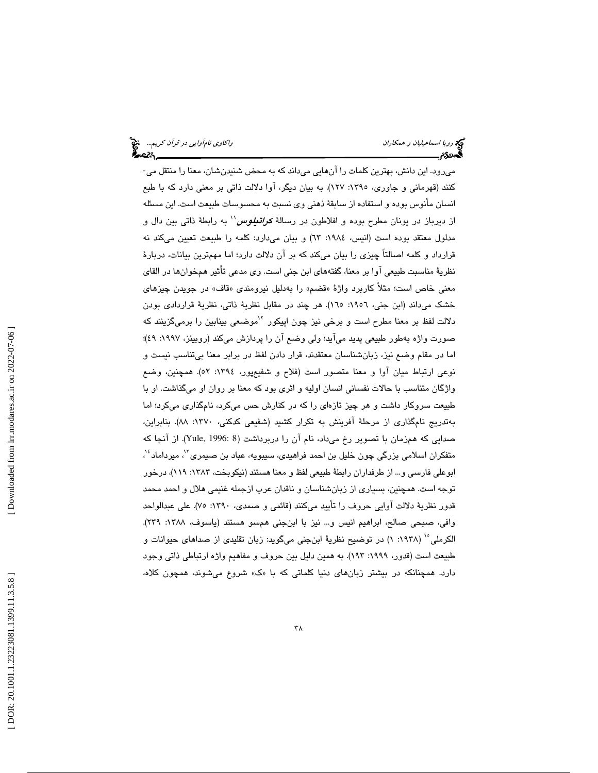ميرود. اين دانش، بهترين كلمات را آنهايي ميداند كه به محض شنيدنشان، معنا را منتقل مي- كنند (قهرماني و جاوري، ١٣٩٥: ١٢٧). به بيان ديگر، آوا دلالت ذاتي بر معني دارد كه با طبع انسان مأنوس بوده و استفاده از سابقهٔ ذهنی وی نسبت به محسوسات طبیعت است. این مسئله از ديرباز در يونان مطرح بوده و افلاطون در رسالهٔ *کراتطیوس'' ب***ه رابطهٔ ذاتی بین دال و** مدلول معتقد بوده است (انيس، ١٩٨٤: ٦٣) و بيان مي دارد: كلمه را طبيعت تعيين ميكند نه قرارداد و كلمه اصالتاً چیزی را بیان میكند كه بر ان دلالت دارد؛ اما مهمترین بیانات، دربارهٔ نظريهٔ مناسبت طبيعي آوا بر معنا، گفتههاي ابن جني است. وي مدعي تأثير همخوانها در القاي معنی خاص است؛ مثلاً کاربرد واژهٔ «قضم» را بهدلیل نیرومندی «قاف» در جویدن چیزهای خشک میداند (ابن جنی، ۱۹۰۲: ۱٦٥). هر چند در مقابل نظریهٔ ذاتی، نظریهٔ قراردادی بودن دلالت لفظ بر معنا مطرح است و برخی نیز چون اپیکور <sup>۱٬</sup>موضعی بینابین را برمیگزینند که صورت واژه بهطور طبيعي پديد مي|يد؛ ولي وضع ان را پردازش ميكند (روبينز، ۱۹۹۷: ٤٩)؛ اما در مقام وضع نيز، زبانشناسان معتقدند، قرار دادن لفظ در برابر معنا بيتناسب نيست و نوعي ارتباط ميان آوا و معنا متصور است (فلاح و شفيعپور، :1394 52). همچنين، وضع واژگان متناسب با حالات نفساني انسان اوليه و اثري بود كه معنا بر روان او ميگذاشت. او با طبیعت سروکار داشت و هر چیز تازهای را که در کنارش حس میکرد، نامگذاری میکرد؛ اما بهتدريج نامگذاری از مرحلهٔ افرينش به تكرار كشيد (شفيعی كدكنی، ۱۳۷۰: ۸۸). بنابراين، صدایی که همزمان با تصویر رخ میداد، نام آن را دربرداشت (Yule, 1996: 8). از آنجا که متفکران اسلامی بزرگی چون خلیل بن احمد فراهیدی، سیبویه، عباد بن صیمری<sup>۱۳</sup>، میرداماد<sup>؛ ۱</sup>، ابوعلي فارسي و... از طرفداران رابطة طبيعي لفظ و معنا هستند (نيكوبخت، :1383 119)، درخور توجه است. همچنين، بسياري از زبانشناسان و ناقدان عرب ازجمله غنيمي هلال و احمد محمد قدور نظرية دلالت آوايي حروف را تأييد ميكنند (قائمي و صمدي، :1390 75). علي عبدالواحد وافي، صبحي صالح، ابراهيم انيس و… نيز با ابن جني همسو هستند (ياسوف، ١٣٨٨: ٢٣٩). الكرملي `` (١٩٣٨: ١) در توضيح نظرية ابنجني ميگويد: زبان تقليدي از صداهاي حيوانات و طبيعت است (قدور، :1999 193). به همين دليل بين حروف و مفاهيم واژه ارتباطي ذاتي وجود دارد. همچنانكه در بیشتر زبانهای دنیا كلماتی كه با «ک» شروع میشوند، همچون كلاه،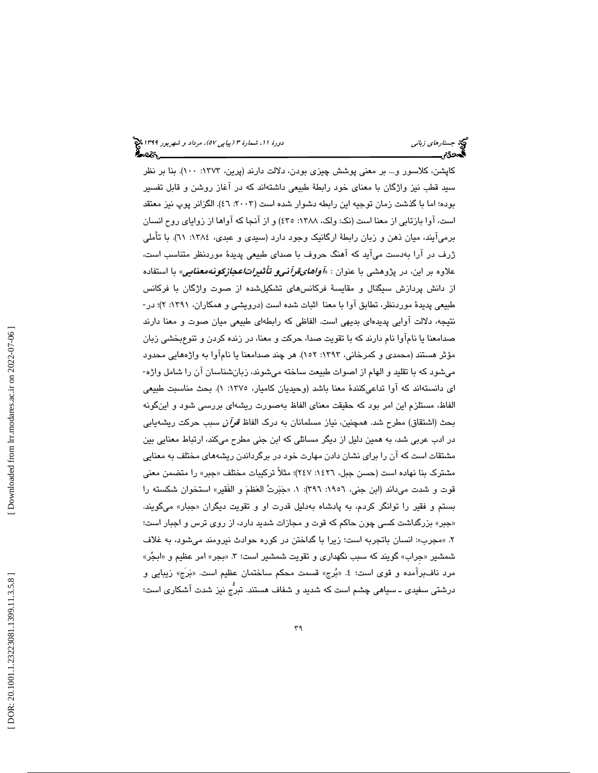كاپشن، كلاسور و… بر معنى پوشش چيزى بودن، دلالت دارند (پرين، ١٣٧٣: ١٠٠). بنا بر نظر سيد قطب نيز واژگان با معناي خود رابطهٔ طبيعي داشتهاند كه در آغاز روشن و قابل تفسير بوده؛ اما با گذشت زمان توجيه اين رابطه دشوار شده است (٢٠٠٣: ٤٦). الگزانر پوپ نيز معتقد است، آوا بازتابی از معنا است (نک: ولک، ۱۳۸۸: ٤٣٥) و از آنجا که آواها از زوایای روح انسان برمی|یند، میان ذهن و زبان رابطهٔ ارگانیک وجود دارد (سیدی و عبدی، ١٣٨٤: ٦١). با تاملی ژرف در آرا به دست می آید كه آهنگ حروف با صدای طبیعی پدیدهٔ موردنظر متناسب است، علاوه بر اين، در پژوهشي با عنوان : «*آوا<i>هاي قرآني و تأثيراتاعجازگونهمعنايي*» با استفاده از دانش پردازش سيگنال و مقايسهٔ فركانس هاى تشكيلشده از صوت واژگان با فركانس طبيعي پديدهٔ موردنظر، تطابق آوا با معنا اثبات شده است (درويشي و همكاران، ۱۳۹۱: ۲)؛ در-نتيجه، دلالت آوايي پديدهاي بديهي است. الفاظي كه رابطهاي طبيعي ميان صوت و معنا دارند صدامعنا يا نامآوا نام دارند كه با تقويت صدا، حركت و معنا، در زنده كردن و تنوعبخشي زبان مؤثر هستند (محمدی و کمرخانی، ۱۳۹۳: ۱۵۲). هر چند صدامعنا یا نامآوا به واژههایی محدود میشود که با تقلید و الهام از اصوات طبیعت ساخته میشوند، زبانشناسان آن را شامل واژه-ای دانستهاند که اوا تداعیکنندهٔ معنا باشد (وحیدیان کامیار، ۱۳۷۰: ۱). بحث مناسبت طبیعی الفاظ، مستلزم اين امر بود كه حقيقت معناي الفاظ بهصورت ريشهاي بررسي شود و اينگونه بحث (اشتقاق) مطرح شد. همچنين، نياز مسلمانان به درک الفاظ *قرآن* سبب حرکت ريشهيابي در ادب عربي شد، به همين دليل از ديگر مسائلي كه ابن جني مطرح ميكند، ارتباط معنايي بين مشتقات است كه آن را براي نشان دادن مهارت خود در برگرداندن ريشههاي مختلف به معنايي مشترک بنا نهاده است (حسن جبل، ١٤٢٦: ٢٤٧)؛ مثلاً ترکیبات مختلف «جبر» را متضمن معنی قوت و شدت مىداند (ابن جنى، ١٩٥٦: ٣٩٦): ١. «جَبَرتَ العَظمَ و الفَقير» استخوان شكسته را بستم و فقیر را توانگر کردم، به پادشاه بهدلیل قدرت او و تقویت دیگران «جبار» میگویند. «جبر» بزرگداشت كسى چون حاكم كه قوت و مجازات شديد دارد، از روى ترس و اجبار است؛ ۲. «مجرب»: انسان باتجربه است؛ زیرا با گداختن در کوره حوادث نیرومند میشود، به غلاف شمشير «جراب» گويند كه سبب نگهداري و تقويت شمشير است؛ ۳. «بجر» امر عظيم و «ابجُر» مرد نافـُبرامده و قوى است؛ ٤. «بُرج» قسمت محكم ساختمان عظيم است. «بَرج» زيبايي و درشتي سفيدي ــ سياهي چشم است كه شديد و شفاف هستند. تبرُّج نيز شدت آشكاري است؛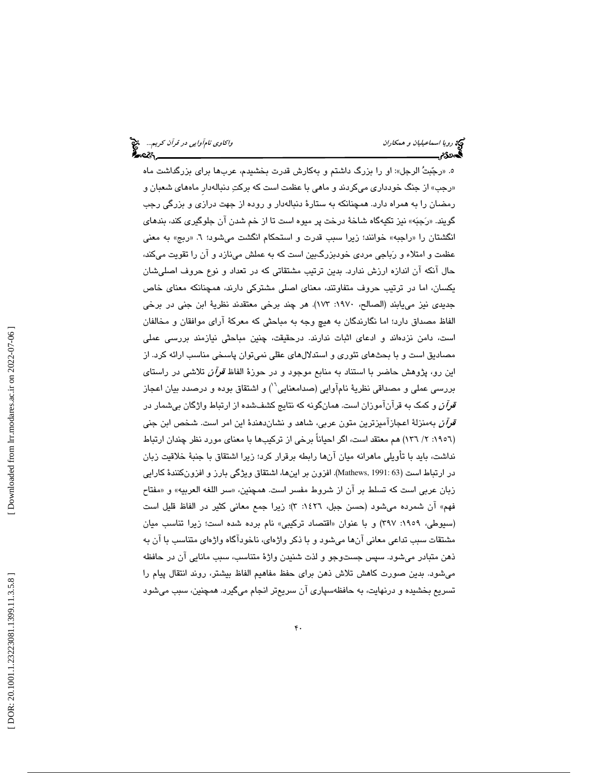ه. «رجّبتُ الرجل»: او را بزرگ داشتم و بهكارش قدرت بخشيدم، عربها براى بزرگداشت ماه «رجب» از جنگ خودداری میکردند و ماهی با عظمت است که برکتِ دنبالهدار ماههای شعبان و رمضان را به همراه دارد. همچنانكه به ستارهٔ دنبالهدار و روده از جهت درازی و بزرگی رجب گويند. «رَجبَه» نيز تكيهگاه شاخهٔ درخت پر ميوه است تا از خم شدن آن جلوگيري كند، بند*ه*اي انگشتان را «راجبه» خوانند؛ زیرا سبب قدرت و استحکام انگشت میشود؛ ٦. «ربج» به معنی عظمت و امتلاء و رَباجی مردی خودبزرگ $بین است که به عملش مینازد و ان را تقویت میکند،$ حال انكه ان اندازه ارزش ندارد. بدین ترتیب مشتقاتی كه در تعداد و نوع حروف اصلیشان یکسان، اما در ترتیب حروف متفاوتند، معنای اصلی مشترکی دارند، همچنانکه معنای خاص جديدى نيز مىيابند (الصالح، ١٩٧٠: ١٧٣). هر چند برخى معتقدند نظريةً ابن جنى در برخى الفاظ مصداق دارد؛ اما نگارندگان به هیچ وجه به مباحثی كه معركهٔ ارای موافقان و مخالفان است، دامن نزدهاند و ادعای اثبات ندارند. درحقیقت، چنین مباحثی نیازمند بررسی عملی مصادیق است و با بحثهای تئوری و استدلالهای عقلی نمیتوان پاسخی مناسب ارائه کرد. از اين رو، پژوهش حاضر با استناد به منابع موجود و در حوزهٔ الفاظ *قرآن* تلاشی در راستای بررسي عملي و مصداقي نظريهٔ نامآوايي (صدامعنايي``) و اشتقاق بوده و درصدد بيان اعجاز ق*رآن* و كمک به قرآنآموزان است. همانگونه كه نتايج كشفـشده از ارتباط واژگان بيشمار در ق*رآن* بهمنزلهٔ اعجازآمیزترین متون عربی، شاهد و نشاندهندهٔ این امر است. شخص ابن جنی (١٩٥٦: ٢/ ١٣٦) هم معتقد است، اگر احیانا برخی از ترکیبها با معنای مورد نظر چندان ارتباط نداشت، بايد با تأويلي ماهرانه ميان آنها رابطه برقرار كرد؛ زيرا اشتقاق با جنبهٔ خلاقيت زبان در ارتباط است (191: 63 Mathews,). افزون بر اينها، اشتقاق ويژگي بارز و افزونكنندهٔ كارايي زبان عربي است كه تسلط بر آن از شروط مفسر است. همچنين، «سر اللغه العربيه» و «مفتاح فهم» ان شمرده میشود (حسن جبل، ١٤٢٦: ٣)؛ زیرا جمع معانی کثیر در الفاظ قلیل است (سيوطى، ١٩٥٩: ٣٩٧) و با عنوان «اقتصاد تركيبي» نام برده شده است؛ زيرا تناسب ميان مشتقات سبب تداعی معانی انها میشود و با ذکر واژهای، ناخوداگاه واژهای متناسب با ان به ذهن متبادر ميشود. سپس جستوجو و لذت شنيدن واژهٔ متناسب، سبب مانايي ان در حافظه میشود. بدین صورت کاهش تلاش ذهن برای حفظ مفاهیم الفاظ بیشتر، روند انتقال پیام را تسريع بخشيده و درنهايت، به حافظهسپاری ان سريعتر انجام میگيرد. همچنين، سبب میشود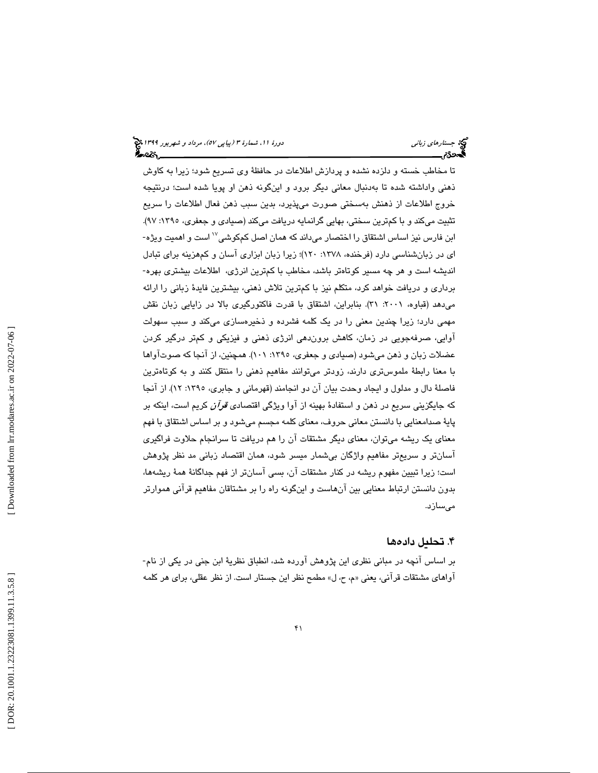تا مخاطب خسته و دلزده نشده و پردازش اطلاعات در حافظهٔ وی تسریع شود؛ زیرا به کاوش ذهني واداشته شده تا بهدنبال معاني ديگر برود و اينگونه ذهن او پويا شده است؛ درنتيجه خروج اطلاعات از ذهنش بهسختی صورت میپذیرد، بدین سبب ذهن فعال اطلاعات را سریع تثبیت میکند و با کم ترین سختی، بهایی گرانمایه دریافت میکند (صیادی و جعفری، ۱۳۹۰: ۹۷). ابن فارس نیز اساس اشتقاق را اختصار میداند که همان اصل کمکوشی<sup>۱۷</sup> است و اهمیت ویژه-اي در زبانشناسي دارد (فرخنده، ۱۳۷۸: ۱۲۰)؛ زيرا زبان ابزاري آسان و كمهزينه براي تبادل انديشه است و هر چه مسير كوتاهتر باشد، مخاطب با كمترين انرژي، اطلاعات بيشتري بهره- برداري و دريافت خواهد كرد، متكلم نيز با كمترين تلاش ذهني، بيشترين فايدة زباني را ارائه میدهد (قباوه، ۲۰۰۱: ۳۱). بنابراین، اشتقاق با قدرت فاکتورگیری بالا در زایایی زبان نقش مهمی دارد؛ زیرا چندین معنی را در یک کلمه فشرده و ذخیرهسازی میکند و سبب سهولت اوايی، صرفهجويی در زمان، كاهش بروندهی انرژی ذهنی و فیزیکی و کمتر درگیر کردن عضلات زبان و ذهن میشود (صیادی و جعفری، ۱۳۹۰: ۱۰۱). همچنین، از انجا که صوت[واها با معنا رابطهٔ ملموس تری دارند، زودتر میتوانند مفاهیم ذهنی را منتقل کنند و به کوتاهترین فاصلهٔ دال و مدلول و ايجاد وحدت بيان آن دو انجامند (قهرماني و جابري، ١٣٩٥: ١٢). از آنجا كه جايگزيني سريع در ذهن و استفادهٔ بهينه از آوا ويژگي اقتصادي *قرآن* كريم است، اينكه بر پايهٔ صدامعنايي با دانستن معانی حروف، معنای کلمه مجسم ميشود و بر اساس اشتقاق با فهم معنای یک ریشه میتوان، معنای دیگر مشتقات ان را هم دریافت تا سرانجام حلاوت فراگیری آسانتر و سریعتر مفاهیم واژگان بیشمار میسر شود، همان اقتصاد زبانی مد نظر پژوهش است؛ زيرا تبيين مفهوم ريشه در كنار مشتقات آن، بسي آسانتر از فهم جداگانهٔ همهٔ ريشهها، بدون دانستن ارتباط معنايي بين آنهاست و اينگونه راه را بر مشتاقان مفاهيم قرآني هموارتر مىسازد.

## ۴. تحلىل دادەها

بر اساس انچه در مبانی نظری این پژوهش اورده شد، انطباق نظریهٔ ابن جنی در یکی از نام-آواهاي مشتقات قرآني، يعني «م، ح، ل» مطمح نظر اين جستار است. از نظر عقلي، براي هر كلمه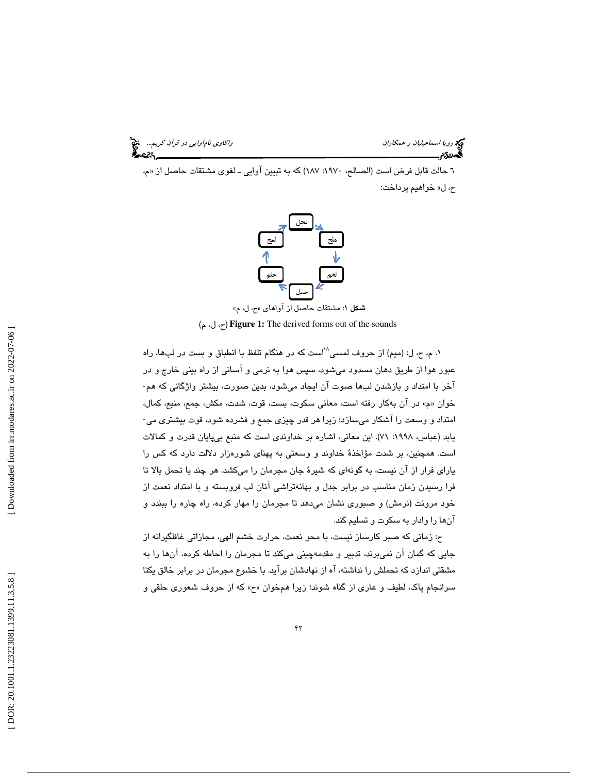رويا اسماعيليا*ن و همكاران واكترىت المركز نامآوايي در قرآن كريم..*... هي المركز المركز المركز المركز المركز المر<br>**المجموع من المركز المركز المركز المركز المركز المركز المركز المركز المركز المركز المركز المركز المركز المرك** 

٦ حالت قابل فرض است (الصالح، ١٩٧٠: ١٨٧) كه به تبيين اوايي ـ لغوى مشتقات حاصل از «م، ح، ل» خواهيم پرداخت:



شكل 1: مشتقات حاصل از آواهاي « ح، ل، م »

(م ،ل ،ح (**Figure 1:** The derived forms out of the sounds

۰. م، ح، ل: (میم) از حروف لمسی $^{\wedge\wedge}$ ست که در هنگام تلفظ با انطباق و بست در لبها، راه عبور هوا از طريق دهان مسدود ميشود، سپس هوا به نرمي و آساني از راه بيني خارج و در<br>آخر با امتداد و بازشدن لبها صوت آن ايجاد ميشود، بدين صورت، بيشتر واژگاني كه هم-خوان «م» در آن بهكار رفته است، معانى سكوت، بست، قوت، شدت، مكش، جمع، منبع، كمال،<br>امتداد و وسعت را آشكار مىسازد؛ زيرا هر قدر چيزى جمع و فشرده شود، قوت بيشترى مى-یابد (عباس، ۱۹۹۸: ۷۱). این معانی، اشاره بر خداوندی است که منبع بیپایان قدرت و کمالات است. همچنین، بر شدت مؤاخذهٔ خداوند و وسعتی به پهنای شورهزار دلالت دارد كه كس را یارای فرار از ان نیست، به گونهای که شیرهٔ جان مجرمان را میکشد. هر چند با تحمل بالا تا فرا رسیدن زمان مناسب در برابر جدل و بهانهتراشی آنان لب فروبسته و با امتداد نعمت از خود مرونت (نرمش) و صبوری نشان میدهد تا مجرمان را مهار کرده، راه چاره را ببندد و آنها را وادار به سكوت و تسليم كند.

ح: زمانی كه صبر كارساز نيست، با محو نعمت، حرارت خشم الهي، مجازاتي غافلگيرانه از جایی که گمان ان نمیبرند، تدبیر و مقدمهچینی میکند تا مجرمان را احاطه کرده، انها را به مشقتی اندازد كه تحملش را نداشته، آه از نهادشان برآید. با خشوع مجرمان در برابر خالق یكتا سرانجام پاک، لطيف و عاري از گناه شوند؛ زيرا همخوان «ح» که از حروف شعوري حلقي و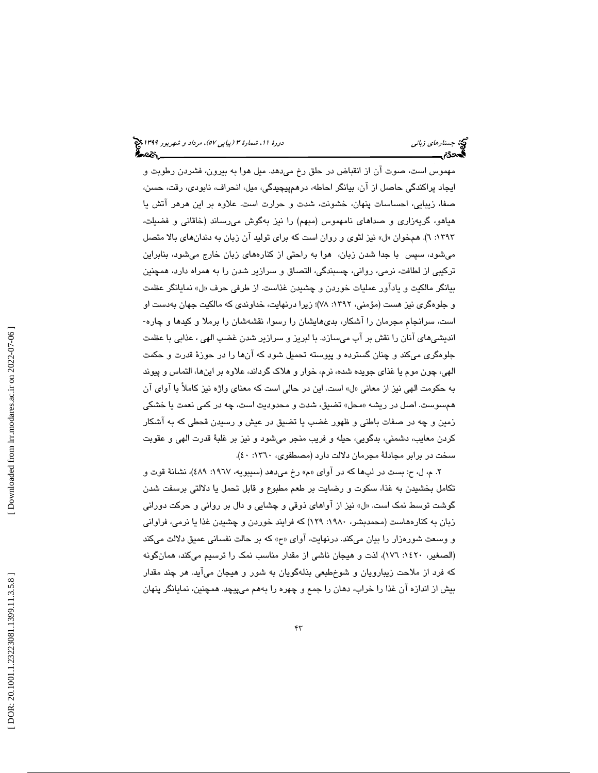مهموس است، صوت ان از انقباض در حلق رخ ميدهد. ميل هوا به بيرون، فشردن رطوبت و ايجاد پراكندگی حاصل از آن، بيانگر احاطه، درهمپيچيدگی، ميل، انحراف، نابودی، رقت، حسن، صفا، زيبايي، احساسات پنهان، خشونت، شدت و حرارت است. علاوه بر اين هرهر آتش يا هیاهو، گریهزاری و صداهای نامهموس (مبهم) را نیز بهگوش میرساند (خاقانی و فضیلت، ١٣٩٣: ٦). همخوان «ل» نيز لثوى و روان است كه براي توليد آن زبان به دندان *هاي* بالا متصل میشود، سپس با جدا شدن زبان، هوا به راحتی از کنارههای زبان خارج میشود، بنابراین تركيبي از لطافت، نرمي، رواني، چسبندگي، التصاق و سرازير شدن را به همراه دارد، همچنين بيانگر مالكيت و يادآور عمليات خوردن و چشيدن غذاست. از طرفي حرف «ل» نمايانگر عظمت و جلوهگری نيز هست (مؤمني، ١٣٩٢: ٧٨)؛ زيرا درنهايت، خداوندي كه مالكيت جهان بهدست او است، سرانجام مجرمان را آشکار، بدی۵ایشان را رسوا، نقشهشان را برملا و کیدها و چاره-انديشيهاى انان را نقش بر اب مىسازد. با لبريز و سرازير شدن غضب الهى ، عذابى با عظمت جلوهگر*ی* میکند و چنان گسترده و پیوسته تحمیل شود که انها را در حوزهٔ قدرت و حکمت الهي، چون موم يا غذاي جويده شده، نرم، خوار و هلاک گرداند، علاوه بر اينها، التماس و پيوند به حكومت الهي نيز از معاني «ل» است. اين در حالي است كه معناي واژه نيز كاملاً با آواي آن همسوست. اصل در ريشه «محل» تضيق، شدت و محدوديت است، چه در كمي نعمت يا خشكي زمین و چه در صفات باطنی و ظهور غضب یا تضیق در عیش و رسیدن قحطی كه به اشكار كردن معايب، دشمني، بدگويي، حيله و فريب منجر ميشود و نيز بر غلبهٔ قدرت الهي و عقوبت سخت در برابر مجادلهٔ مجرمان دلالت دارد (مصطفوی، ۱۳٦۰: ٤٠).

۲. م، ل، ح: بست در لبها كه در اواى «م» رخ مىدهد (سيبويه، ۱۹٦۷: ٤٨٩)، نشانةً قوت و تكامل بخشيدن به غذا، سكوت و رضايت بر طعم مطبوع و قابل تحمل يا دلالتي برسفت شدن گوشت توسط نمک است. «ل» نیز از آواهای ذوقی و چشایی و دال بر روانی و حرکت دورانی زبان به كنارههاست (محمدبشر، ۱۹۸۰: ۱۲۹) كه فرایند خوردن و چشیدن غذا یا نرمی، فراوانی و وسعت شورهزار را بیان میكند. درنهایت، اوای «ح» كه بر حالت نفسانی عمیق دلالت میكند (الصغیر، ۱٤۲۰: ۱۷٦)، لذت و هیجان ناشی از مقدار مناسب نمک را ترسیم میکند، همانگونه كه فرد از ملاحت زيبارويان و شوخطبعي بذلهگويان به شور و هيجان ميآيد. هر چند مقدار بیش از اندازه ان غذا را خراب، دهان را جمع و چهره را بههم میپیچد. همچنین، نمایانگر پنهان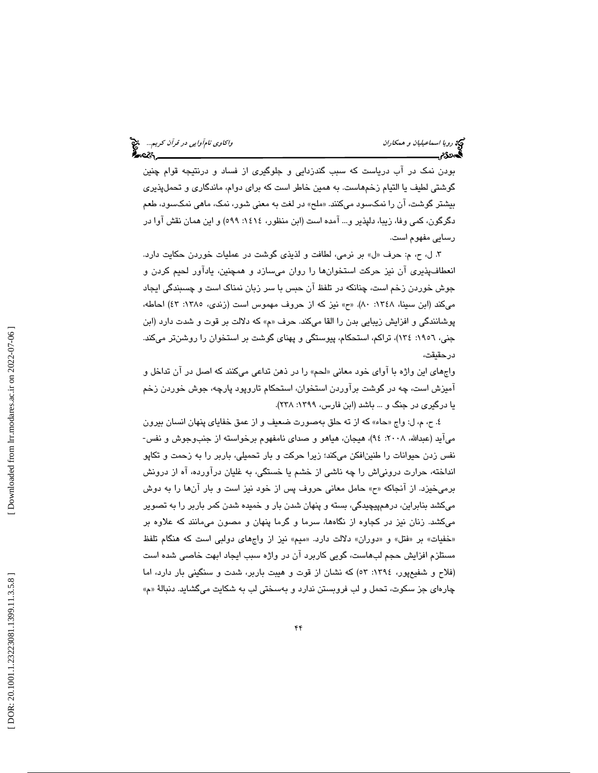بودن نمک در اب درياست که سبب گندزدايی و جلوگيری از فساد و درنتيجه قوام چنين گوشتی لطيف يا التيام زخمهاست. به همين خاطر است كه برای دوام، ماندگاری و تحملپذيری بیشتر گوشت، ان را نمكسود مىكنند. «ملح» در لغت به معنى شور، نمك، ماهى نمكسود، طعم دگرگون، كمي وفا، زيبا، دلپذير و... آمده است (ابن منظور، ١٤١٤: ٥٩٩) و اين همان نقش آوا در رسا يي مفهوم است.

۳. ل، ح، م: حرف «ل» بر نرمي، لطافت و لذيذى گوشت در عمليات خوردن حكايت دارد. انعطافپذیری ان نیز حرکت استخوانها را روان میسازد و همچنین، یاداور لحیم کردن و جوش خوردن زخم است، چنانكه در تلفظ آن حبس با سر زبان نمناك است و چسبندگ يا ي جاد میكند (ابن سبینا، ۱۳٤۸: ۸۰). «ح» نیز كه از حروف مهموس است (زندی، ۱۳۸٥: ٤٣) احاطه، پوشانندگی و افزایش زیبایی بدن را القا میکند. حرف «م» که دلالت بر قوت و شدت دارد (ابن جنی، ۱۹۰۲: ۱۳٤)، تراکم، استحکام، پیوستگی و پهنای گوشت بر استخوان را روشنتر میکند. در حقيقت،

واجهای این واژه با اوای خود معانی «لحم» را در ذهن تداعی میکنند که اصل در ان تداخل و آمیزش است، چه در گوشت برآوردن استخوان، استحکام تاروپود پارچه، جوش خوردن زخم يا درگيري در جنگ و ... باشد (ابن فارس، ١٣٩٩: ٢٣٨).

٤. ح، م، ل: واج «حاء» كه از ته حلق بهصورت ضعيف و از عمق خفاياى پنهان انسان بيرون میآید (عبدالله، ۲۰۰۸: ۹٤)، هیجان، هیاهو و صدای نامفهوم برخواسته از جنبوجوش و نفس-نفس زدن حیوانات را طنین|فکن میکند؛ زیرا حرکت و بار تحمیلی، باربر را به زحمت و تکاپو انداخته، حرارت درونیاش را چه ناشی از خشم یا خستگی، به غلیان دراورده، اه از درونش برمیخیزد. از انجاكه «ح» حامل معانی حروف پس از خود نیز است و بار انها را به دوش میكشد بنابراین، درهمپیچیدگی، بسته و پنهان شدن بار و خمیده شدن كمر باربر را به تصویر میکشد. زنان نیز در کجاوه از نگاهها، سرما و گرما پنهان و مصون میمانند که علاوه بر «خفیات» بر «فتل» و «دوران» دلالت دارد. «میم» نیز از واجهای دولبی است که هنگام تلفظ مستلزم افزايش حجم لب۵است، گويی كاربرد ان در واژه سبب ايجاد ابهت خاصى شده است (فلاح و شفیعپور، ١٣٩٤: ٥٢) كه نشان از قوت و هیبت باربر، شدت و سنگینی بار دارد، اما چارها*ی* جز سکوت، تحمل و لب فروبستن ندارد و بهسختی لب به شکایت میگشاید. دنبالهٔ «م»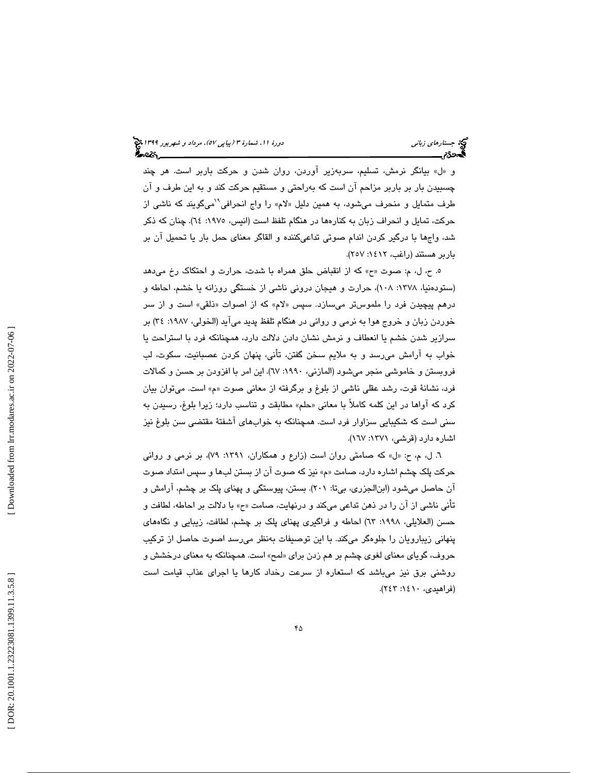و «ل» بيانگر نرمش، تسليم، سربهزير آوردن، روان شدن و حركت باربر است. هر چند چسبيدن بار بر باربر مزاحم آن است كه بهراحتى و مستقيم حركت كند و به اين طرف و آن<br>طرف متمايل و منحرف مي شود، به همين دليل «لام» را واج انحرافي <sup>\ا</sup>ميگويند كه ناش*ي* از حركت، تمايل و انحراف زبان به كنارهها در هنگام تلفظ است (انيس، :1975 64). چنان كه ذكر شد، واجها با درگير كردن اندام صوتي تداعيكننده و القاگر معناي حمل بار يا تحميل آن بر باربر هستند (راغب، :1412 257 ).

ه. ح، ل، م: صوت «ح» كه از انقباض حلق همراه با شدت، حرارت و احتكاك رخ مىدهد (ستودهنيا، ۱۳۷۸: ۱۰۸)، حرارت و هيجان دروني ناشي از خستگي روزانه يا خشم، احاطه و درهم پيچيدن فرد را ملموسټر میسازد. سپس «لام» که از اصوات «ذلقی» است و از سر خوردن زبان و خروج هوا به نرمي و رواني در هنگام تلفظ پديد ميآيد (الخولي، ١٩٨٧: ٣٤) بر سرازير شدن خشم يا انعطاف و نرمش نشان دادن دلالت دارد، همچنانكه فرد با استراحت يا خواب به ارامش مىرسد و به ملايم سخن گفتن، تانى، پنهان كردن عصبانيت، سكوت، لب فروبستن و خاموشی منجر میشود (المازنی، ۱۹۹۰: ٦٧). این امر با افزودن بر حسن و کمالات فرد، نشانهٔ قوت، رشد عقلی ناشی از بلوغ و برگرفته از معانی صوت «م» است. میتوان بیان كرد كه آواها در اين كلمه كاملأ با معانى «حلم» مطابقت و تناسب دارد؛ زيرا بلوغ، رسيدن به سني است كه شكيبايي سزاوار فرد است. همچنانكه به خوابهاي آشفتهٔ مقتضى سن بلوغ نيز اشاره دارد (قرشى، ١٣٧١: ١٦٧).

٦. ل، م، ح: «ل» كه صامتى روان است (زارع و همكاران، ١٣٩١: ٧٩)، بر نرمى و روانى حركت پلك چشم اشاره دارد ، صامت زين »م« كه صوت از آن بستن لب و ها سپس امتداد صوت ان حاصل میشود (ابنالجزری، بیتا: ۲۰۱). بستن، پیوستگی و پهنای پلک بر چشم، ارامش و تاني ناشي از ان را در ذهن تداعي ميكند و درنهايت، صامت «ح» با دلالت بر احاطه، لطافت و حسن (العلايلي، ۱۹۹۸: ٦٣) احاطه و فراگيري پهناي پلک بر چشم، لطافت، زيبايي و نگاههاي پنهانی زیبارویان را جلوهگر میکند. با این توصیفات بهنظر میرسد اصوت حاصل از ترکیب حروف، گوياي معناي لغوي چشم بر هم زدن براي «لمح» است. همچنانكه به معناي درخشش و روشنی برق نیز میباشد که استعاره از سرعت رخداد کارها یا اجرای عذاب قیامت است (فراهيدي، ١٤١٠: ٢٤٣).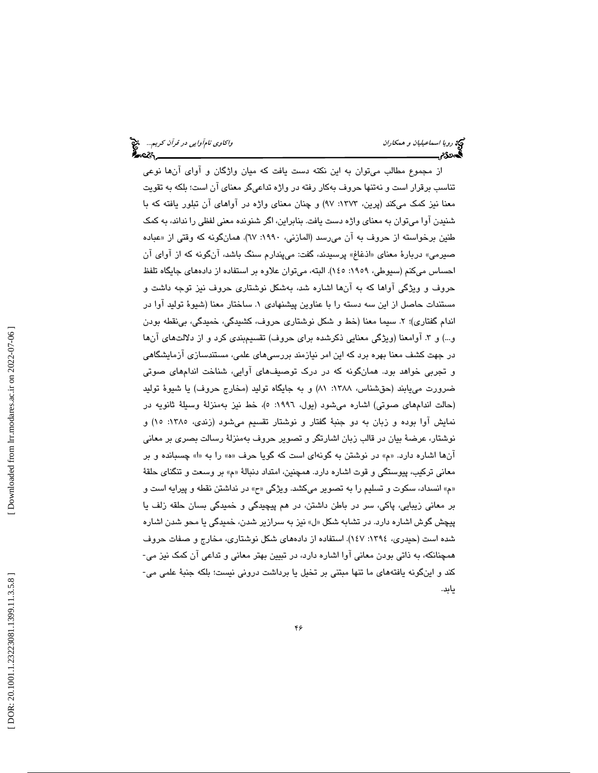از مجموع مطالب میتوان به این نکته دست یافت که میان واژگان و اوای آنها نوعی تناسب برقرار است و نهتنها حروف بهكار رفته در واژه تداعىگر معناى ان است؛ بلكه به تقويت معنا نیز کمک میکند (پرین، ۱۳۷۳: ۹۷) و چنان معنای واژه در اواهای ان تبلور یافته که با شنيدن اوا مىتوان به معناى واژه دست يافت. بنابراين، اگر شنونده معنى لفظى را نداند، به كمک طنين برخواسته از حروف به ان مىرسد (المازنى، ١٩٩٠: ٦٧). همانگونه كه وقتى از «عباده صیرمی» دربارهٔ معنای «اذغاغ» پرسیدند، گفت: میپندارم سنگ باشد. انگونه که از اوای ان احساس میکنم (سیوطی، ۱۹۰۹: ۱٤٥). البته، میتوان علاوه بر استفاده از دادههای جایگاه تلفظ حروف و ویژگی اواها که به انها اشاره شد، بهشکل نوشتاری حروف نیز توجه داشت و مستندات حاصل از اين سه دسته را با عناوين پيشنهادي ١. ساختار معنا (شيوهٔ توليد آوا در اندام گفتاری)؛ ۲. سیما معنا (خط و شکل نوشتاری حروف، کشیدگی، خمیدگی، بی نقطه بودن و…) و ۳. اوامعنا (ویژگی معنایی ذکرشده برای حروف) تقسیمٖبندی کرد و از دلالتهای انها در جهت كشف معنا بهره برد كه اين امر نيازمند بررسىهاى علمى، مستندسازى ازمايشگاهى و تجربی خواهد بود. همانگونه که در درک توصیفهای اوایی، شناخت اندامهای صوتی ضرورت مي يابند (حقشناس، ١٣٨٨: ٨١) و به جايگاه توليد (مخارج حروف) يا شيوهٔ توليد (حالت اندامهای صوتی) اشاره میشود (يول، ۱۹۹۲: ٥)، خط نيز بهمنزلهٔ وسيلهٔ ثانويه در نمايش اوا بوده و زبان به دو جنبهٔ گفتار و نوشتار تقسيم ميشود (زندی، ۱۳۸۰: ۱۵) و نوشتار، عرضهٔ بیان در قالب زبان اشارتگر و تصویر حروف بهمنزلهٔ رسالت بصری بر معانی آنها اشاره دارد. «م» در نوشتن به گونهای است كه گویا حرف «ه» را به «ا» چسبانده و بر معاني تركيب، پيوستگي و قوت اشاره دارد. همچنين، امتداد دنبالهٔ «م» بر وسعت و تنگناي حلقهٔ «م» انسداد، سكوت و تسليم را به تصوير مىكشد. ويژگى «ح» در نداشتن نقطه و پيرايه است و بر معانی زيبايی، پاكی، سر در باطن داشتن، در هم پيچيدگی و خميدگی بسان حلقه زلف يا پيچش گوش اشاره دارد. در تشابه شكل «ل» نيز به سرازير شدن، خميدگي يا محو شدن اشاره شده است (حیدری، ١٣٩٤: ١٤٧). استفاده از دادههای شکل نوشتاری، مخارج و صفات حروف همچنانكه، به ذاتی بودن معانی آوا اشاره دارد، در تبیین بهتر معانی و تداعی آن كمک نیز می-كند و اينگونه يافتههاى ما تنها مبتنى بر تخيل يا برداشت درونى نيست؛ بلكه جنبهٔ علمى مى-يابد.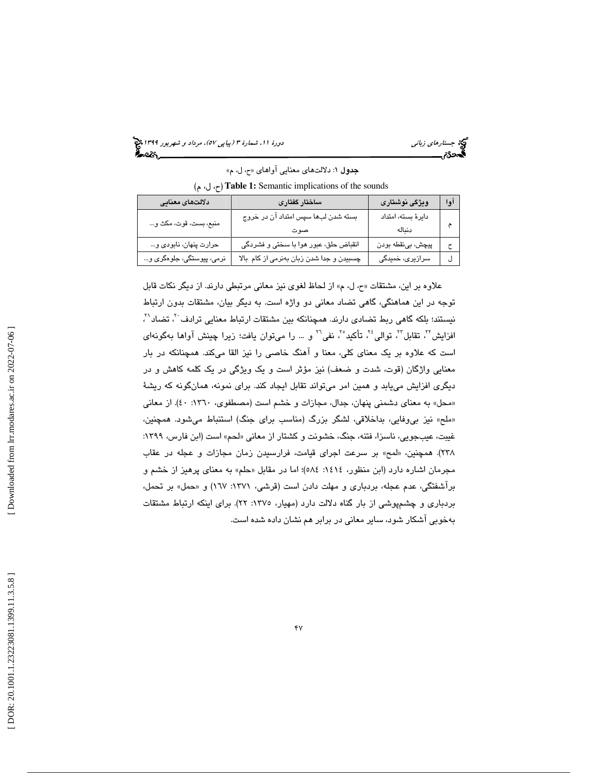جستارها*ي زباني (هي دورة 1391 هـ* مرداد و شهريور 1191 هجري 1394 هجريور 1394 هجريور 1394 هجريور 1394 هجريور 1394

جدول ۱: دلالتهاى معنايي آواهاي «ح، ل، م» (م ،ل ،ح ( **Table 1:** Semantic implications of the sounds

| دلالتهاى معنايى           | ساختار گفتاری                            | ويژگى نوشتارى       | اوا |
|---------------------------|------------------------------------------|---------------------|-----|
| منبع، بست، قوت، مكث و     | بسته شدن لبها سپس امتداد آن در خروج      | دایرهٔ بسته، امتداد |     |
|                           | صوت                                      | دنىالە              |     |
| حرارت پنهان، نابودي و     | انقباض حلق، عبور هوا با سختی و فشردگی    | پيچش، بينقطه بودن   |     |
| نرمی، پیوستگی، جلوهگری و… | چسبیدن و جدا شدن زبان بهنرمی از کام بالا | سرازیری، خمیدگی     |     |

علاوه بر اين، مشتقات «ح، ل، م» از لحاظ لغوي نيز معاني مرتبطي دارند. از ديگر نكات قابل توجه در اين هماهنگي، گاهي تضاد معاني دو واژه است. به ديگر بيان، مشتقات بدون ارتباط نیستند؛ بلکه گاهی ربط تضادی دارند. همچنانکه بین مشتقات ارتباط معنایی ترادف َ َ ، تضاد ٰ َ ، افزايش<sup>٢</sup>، تقابل<sup>٢</sup>، توالي<sup>٢</sup>، تأكيد°′، نفي™ و … را ميتوان يافت؛ زيرا چينش آواها بهگونهاي است كه علاوه بر يك معناي كلي، معنا و آهنگ خاصي را نيز القا ميكند. همچنانكه در بار معنايي واژگان (قوت، شدت و ضعف) نيز مؤثر است و يك ويژگي در يك كلمه كاهش و در ديگري افزايش مييابد و همين امر ميتواند تقابل ايجاد كند. براي نمونه، همانگونه كه ريشة «محل» به معنای دشمنی پنهان، جدال، مجازات و خشم است (مصطفوی، ۱۳٦۰: ٤٠). از معانی «ملح» نیز بی٫وفایی، بداخلاقی، لشگر بزرگ (مناسب برای جنگ) استنباط میشود. همچنین، غيبت، عيبجويي، ناسزا، فتنه، جنگ، خشونت و كشتار از معاني «لحم» است (ابن فارس، ١٣٩٩: ۲۳۸). همچنین، «لمح» بر سرعت اجرای قیامت، فرارسیدن زمان مجازات و عجله در عقاب مجرمان اشاره دارد (ابن منظور، ١٤١٤: ٥٨٤)؛ اما در مقابل «حلم» به معناى پرهيز از خشم و براشفتگی، عدم عجله، بردباری و مهلت دادن است (قرشی، ۱۳۷۱: ۱۲۷) و «حمل» بر تحمل، بردباری و چشمپوشی از بار گناه دلالت دارد (مهیار، ۱۳۷۰: ۲۲). برای اینکه ارتباط مشتقات بهخوبی آشکار شود، سایر معانی در برابر هم نشان داده شده است.

 [\[ DOR: 20.1001.1.23223081.1399.11.3.5.8](https://dorl.net/dor/20.1001.1.23223081.1399.11.3.5.8) ] [\[ Downloaded from lrr.modares.ac.ir on 20](https://lrr.modares.ac.ir/article-14-29173-fa.html)22-07-06 ] Downloaded from lrr.modares.ac.ir on 2022-07-06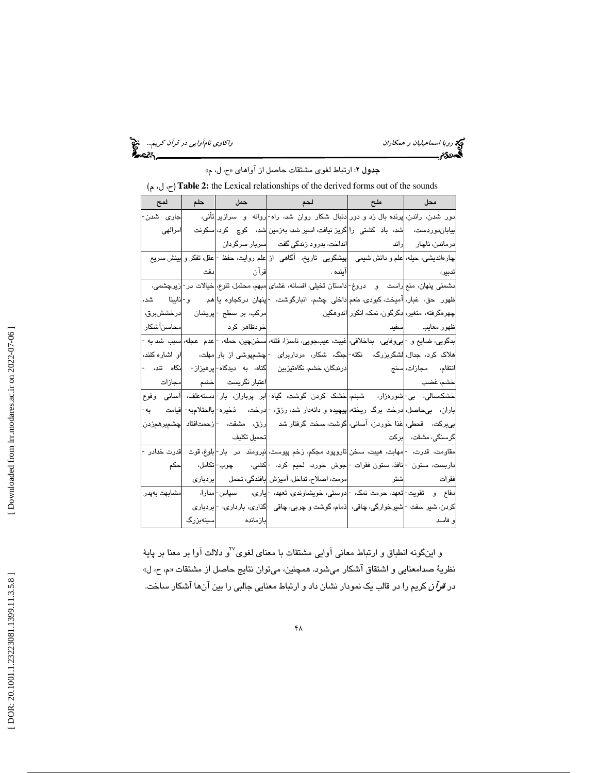رويا اسماعيليان و همكاران واكاوي نامآوايي در قرآن كريم... المجمع العامليان و اكاوي نامآوايي در قرآن كريم... ال<br>المحمدى[ویرایش]<br>المحمدی العامل

جدول ٢: ارتباط لغوي مشتقات حاصل از آواهاي «ح، ل، م»

،ل م )،ح(**Table 2:** the Lexical relationships of the derived forms out of the sounds

| جاری شدن-    |                            | دور شدن، راندن، پرنده بال زد و دور دنبال شکار روان شد، راه- روانه  و  سرازیر تأنی،                                                      |                                           |                               |
|--------------|----------------------------|-----------------------------------------------------------------------------------------------------------------------------------------|-------------------------------------------|-------------------------------|
| امرالهى      |                            | بیاباندوردست، د <mark>شد، باد کشتی را</mark> گریز نیافت، اسیر شد، بهزمین <mark>شد، کوچ کرد، </mark> سکونت                               |                                           |                               |
|              |                            | درماندن، ناچار <mark>راند استانست، بدرود زندگی گفت سربار سرگردان</mark>                                                                 |                                           |                               |
|              |                            | چارهاندیشی، حیله، علم و دانش شیمی    پیشگویی   تاریخ،   آگاهی   از علم روایت، حفظ - عقل، تفکر و بینش سریع                               |                                           |                               |
|              |                            |                                                                                                                                         |                                           |                               |
|              |                            | دشمني پنهان، منع اراست مو مدروغ- داستان تخيلي، افسانه، غشاي امبهم، محتمل، تنوع، اخيالات در - زيرچشمي،                                   |                                           |                               |
|              |                            | ظهور  حق، غبار، آمیخت،کبودی،طعم داخلی چشم، انبارگوشت، - پنهان درکجاوه یا هم     و- نابینا     شد،                                       |                                           |                               |
|              |                            |                                                                                                                                         |                                           |                               |
|              | خودظاهر کرد  <br> -        |                                                                                                                                         |                                           | <mark>ظهور معايب مسفيد</mark> |
|              |                            | بدگویی، ضایع و - بی٫وفایی،  بداخلاقی، غیبت، عیبجویی، ناسزا، فتنه، سخنچین، حمله، - عدم  عجله، سبب  شد به -                               |                                           |                               |
|              |                            | هلاک کرد، جدال، <mark>ا</mark> لشگربزرگ،   نکته- جنگ،  شکار،  مرداربرای  - چشمپوشی از بار <mark>مهلت،      </mark> او اشاره کنند،       |                                           |                               |
|              |                            |                                                                                                                                         |                                           |                               |
|              | اعتبار نگریست  خشم  مجازات |                                                                                                                                         |                                           | <mark>خشم، غضب</mark> ا       |
|              |                            | خشکسالی، بی- شورەزار،  شبنم، خشک کردن گوشت، گیاه- ابر پرباران، بار- دستهعلف،  آسانی وقوع                                                |                                           |                               |
|              |                            | باران،   بىحاصل، <mark>ا</mark> درخت برگ ريخته، <mark>پيچيده و دانهدار شد، رزق، -</mark> ادرخت،     ذخيره- بااحتلامبه-  قيامت       به- |                                           |                               |
|              |                            | بىبركت،   قحطى، غذا خوردن، آسانى، گوشت، سخت گرفتار شد     رزق،  مشقت،   - زحمتافتاد  چشمېرهمزدن                                         |                                           |                               |
|              |                            |                                                                                                                                         | گرسنگ <i>ی،</i> مشقت، د <mark>برکت</mark> |                               |
| قدرت خدادر - |                            | مقاومت، قدرت، - مهابت، هیبت، سخن تاروپود مجکم، زخم پیوست، نیرومند  در  بار- بلوغ، قوت                                                   |                                           |                               |
| احكم         |                            | داربست، ستون - <mark>انافذ، ستون فقرات -</mark> جوش خورد، لحیم کرد، - کشی،      چوب- تکامل،                                             |                                           |                               |
|              |                            |                                                                                                                                         |                                           |                               |
|              |                            | دفاع   و    تقویت- <mark>تعهد، حرمت نمک، -</mark> ادوستی، خویشاوندی، تعهد، -ایاری،      سپاس- <mark>ا</mark> مدارا،        مشابهت بهپدر |                                           |                               |
|              |                            | کردن، شیر سفت -لشیرخوارگی، چاقی،  ذمام، گوشت و چربی، چاقی    گذاری، بارداری، - بردباری                                                  |                                           |                               |
|              | بازمانده سینهبزرگ          |                                                                                                                                         |                                           | و فاسد                        |

و اينگونه انطباق و ارتباط معانى آوايى مشتقات با معناى لغوى<sup>77</sup>و دلالت آوا بر معنا بر پايهٔ نظريهٔ صدامعنايي و اشتقاق اشكار ميشود. همچنين، ميتوان نتايج حاصل از مشتقات «م، ح، ل» د*ر قرآن* كريم را در قالب يک نمودار نشان داد و ارتباط معنايي جالبي را بين آنها آشكار ساخت.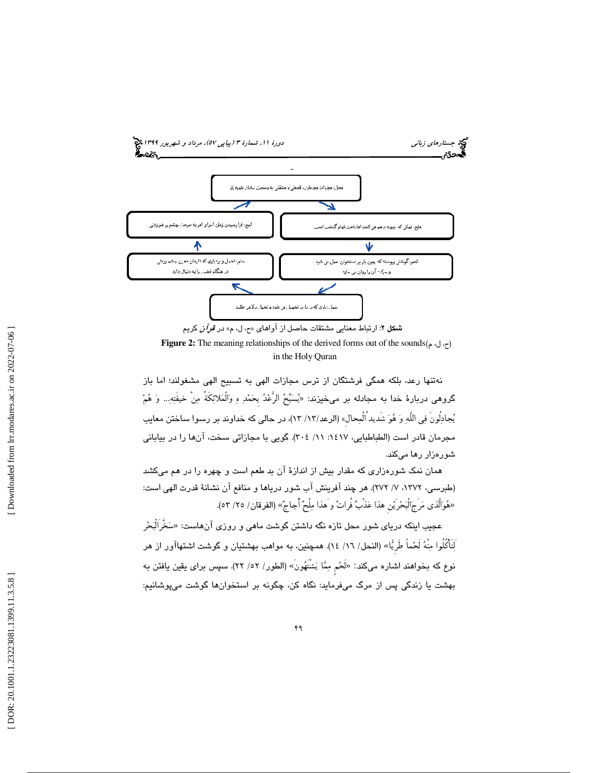

**Figure 2:** The meaning relationships of the derived forms out of the sounds(م ،ل ،ح ( in the Holy Quran

نهتنها رعد، بلكه همگى فرشتگان از ترس مجازات الهى به تسبيح الهى مشغولند؛ اما باز گروهي دربارهٔ خدا به مجادله بر مىخيزند: «يُسَبَّحُ الرَّعْدُ بحَمْدِ هِ وَالْمَلائِكَة مِن خيفتِهِ... وَ هُمْ يجادلُونَ في اللَّه و هو شَديدُالْمحالِ» (الرعد/ 13/ 13)، در حالي كه خداوند بر رسوا ساختن معايب مجرمان قادر است (الطباطبايي، :1417 /11 304 ). گويي با مجازاتى سخت، آنها را در بياباني شورهزار رها ميكند.

همان نمك شورهزاري كه مقدار بيش از اندازة آن بد طعم است و چهره را در هم ميكشد (طبرسي، ١٣٧٢، ٧/ ٢٧٢). هر چند آفرينش آب شور درياها و منافع آن نشانهٔ قدرت الهي است: «هُوَالَّذي مَرجَالبَحْريْن هذا عَذْبٌ فراتٌ و هذا مِلحٌ أجاجٌ» (الفرقان/ ٢٥/ ٥٣).

عجيب اينكه درياى شور محل تازه نگه داشتن گوشت ماهى و روزى آنهاست: «سَخَّرالبَحْر لِتَأْكُلُوا مِنهُ لَحْماً طَرِيًّا» (النحل/ ١٦/ ١٤). همچنين، به مواهب بهشتيان و گوشت اشتهاآور از هر نوع كه بخواهند اشاره مىكند: «لحْم مِمَّا يَشتهُون» (الطور/ ٥٢/ ٢٢). سپس براى يقين يافتن به بهشت يا زندگي پس از مرگ ميفرمايد: نگاه كن، چگونه بر استخوانها گوشت مىپوشانيم :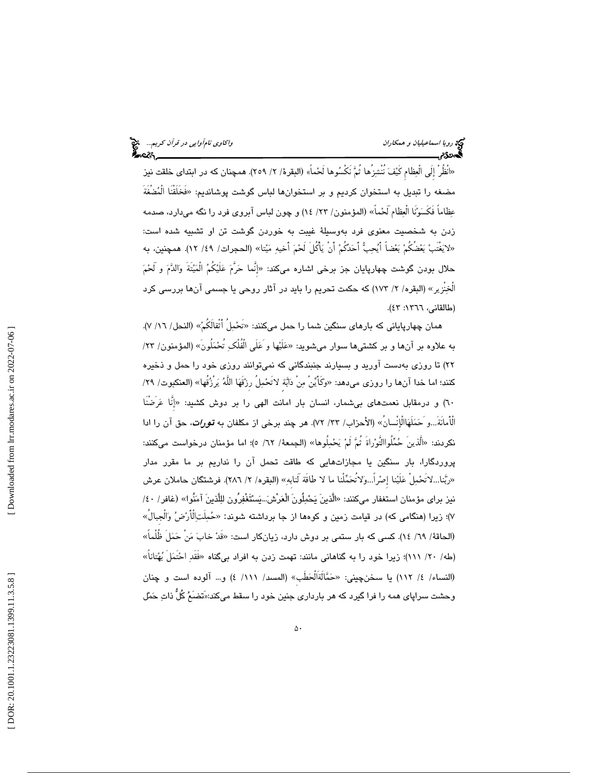«انظر إلى العِظام كَيْفَ ننشِزِها ثُمَّ نكسُوها لْحْماً» (البقرة/ ٢/ ٢٥٩). همچنان كه در ابتداى خلقت نيز مضغه را تبديل به استخوان كرديم و بر استخوانها لباس گوشت پوشانديم: «فَخَلَقْنَا الْمُضَغَّةَ عِظاماً فَكَسَوْنَا الْعِظام لَحْماً» (المؤمنون/ ٢٣/ ١٤) و چون لباس آبروی فرد را نگه مىدارد، صدمه زدن به شخصيت معنوى فرد بهوسيلهٔ غيبت به خوردن گوشت تن او تشبيه شده است: «لايَغْتَبْ بَعْضَكُمْ بَعْضاً أَيُحِبُّ أَحَدُكُمْ أَنْ يَأْكُلُ لَحْمَ أَخيهِ مَيْتا» (الحجرات/ ٤٩/ ١٢). همچنين، به حلال بودن گوشت چهارپایان جز برخی اشاره میکند: «إنْما حَرَّمَ عَلَيْکمُ المَيْتة وَالدَّمَ و لحْمَ الخِنزير» (البقره/ ٢/ ١٧٣) كه حكمت تحريم را بايد در آثار روحى يا جسمى آنها بررسى كرد (طالقاني، ١٣٦٦: ٤٣).

همان چهارپایانی که بارهای سنگین شما را حمل میکنند: «تحْمِل اُثقالکمْ» (النحل/ ١٦/ ٧). به علاوه بر آنها و بر كشتىها سوار مىشويد: «عَلَيْها و عَلَى الْفَلَكِ تَحْمَلُونَ» (المؤمنون/ ٢٣/ 22) تا روزي بهدست آوريد و بسيارند جنبندگانى كه نمىتوانند روزى خود را حمل و ذخيره كَنند؛ اما خدا آنها را روزى مىدهد: «وَكَأَيِّنَ مِنْ دَابَة لاتَحْمِلُ رِزْقَهَا اللّهُ يَرزُقُها» (العنكبوت/ ٢٩/ ٦٠) و درمقابل نعمتهاي بيشمار، انسان بار امانت الهي را بر دوش كشيد: «إنَّا عَرَضْنَا الْأَمانَةُ…و ْحَمَلْهَاالْإِنْسانُ» (الأحزاب/ ٣٢/ ٧٢). هر چند برخي از مكلفان به **تـور***ات،* **حق آن را ادا** نكردند: «الّذين حُمَّلُواالتّوْراةُ ثُمَّ لُمْ يَحْمِلُوها» (الجمعهٔ/ ٦٢/ ٥)؛ اما مؤمنان درخواست ميكنند: پروردگارا، بار سنگين يا مجازاتهايى كه طاقت تحمل آن را نداريم بر ما مقرر مدار «رَّبْنا...لاتحْمِل عَلَيْنا إصْرا...وَلاتحَمَّلنا ما لا طاقة لنابهِ» (البقره/ ٢/ ٢٨٦). فرشتگان حاملان عرش نيز براى مؤمنان استغفار مىكنند: «الَّذينَ يَحْمِلُونَ الْعَرْشَ...يَسْتَغْفِرُون للِلَّذينَ آمَنُوا» (غافر/ ٤٠/ ۷)؛ زیرا (هنگامی که) در قیامت زمین و کوهها از جا برداشته شوند: «حُمِلَتاِلْأَرْضُ وَالْجبالُ» (الحاقة/ ٦٩/ ١٤). كسى كه بار ستمى بر دوش دارد، زيانكار است: «قَدْ خابَ مَنْ حَمَلْ ظُلْماً» (طه/ ٧٠/ ١١١)؛ زیرا خود را به گناهانی مانند: تهمت زدن به افراد بیگناه «فَقَدِ احْتَمَلَ بُهْتاناً» (النساء/ ٤/ ١١٢) يا سخنچيني: «حَمَّالْةَالْحَطَب» (المسد/ ١١١/ ٤) و… آلوده است و چنان وحشت سراپاى همه را فرا گيرد كه هر باردارى جنين خود را سقط مىكند:«َتضَع كُلُّ ذات حمل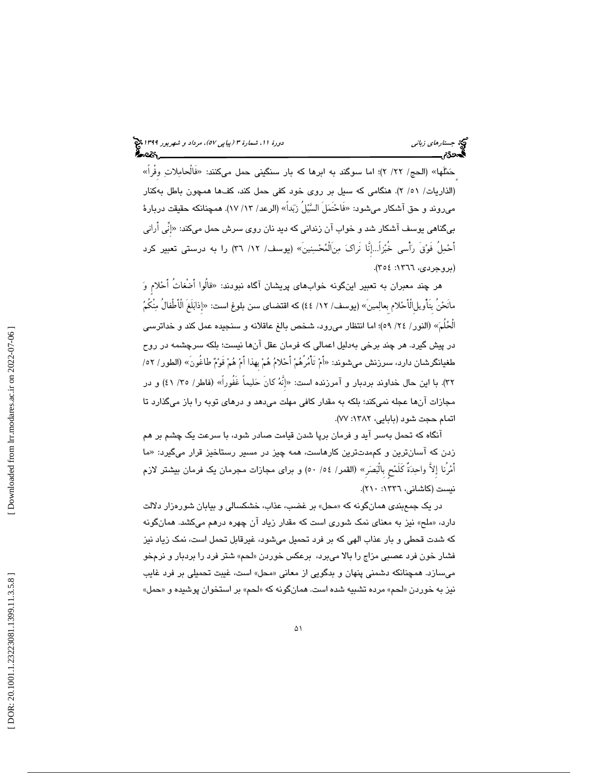حَمَّلُها» (الحج/ ٢٢/ ٢)؛ اما سوگند به ابرها كه بار سنگينى حمل مىكنند: «فالحامِلاتِ وقرا» (الذاريات/ 51 /2 ). هنگامي كه سيل بر روى خود كفى حمل كند، كفها همچون باطل به كنار مىروند و حق آشكار مىشود: «فَاحْتَمَلْ السَّيْلْ زَبَداً» (الرعد/ ١٣/ ١٧). همچنانكه حقيقت دربارهٔ بیگناهی یوسف آشکار شد و خواب آن زندانی که دید نان روی سرش حمل میکند: «إنِّی اَرانی أَحْمِلُ فَوْقَ رَأْسي خُبْزاً...إِنَّا نَراكَ مِنْالْمُحْسِنِينَ» (يوسف/ ١٢/ ٣٦) را به درستی تعبیر کرد (بروجردي، ١٣٦٦: ٢٥٤).

هر چند معبران به تعبیر اینگونه خوابهای پریشان آگاه نبودند: «قالوا أضغاث أحْلام وَ مانْحْن بتأويلِاالْأَحْلام بعالِمين» (يوسف/ ١٢/ ٤٤) كه اقتضاى سن بلوغ است: «إذابَلغ الْأَطْفال مِنكمُ الحُلمَ» (النور/ ٢٤/ ٥٩)؛ اما انتظار مىرود، شخص بالغ عاقلانه و سنجيده عمل كند و خداترسى در پیش گیرد. هر چند برخی بهدلیل اعمالی كه فرمان عقل انها نیست؛ بلكه سرچشمه در روح طغيانگرشان دارد، سرزنش مىشوند: «اَمْ تَأْمُرْهُمْ أَحْلامُ هُمْ بهذا أَمْ هُمْ قَوْمٌ طاغُونَ» (الطور/ ٥٢/ ٣٢). با این حال خداوند بردبار و آمرزنده است: «إِنَّهُ كانَ حَليماً غَفُوراً» (فاطر/ ٣٥/ ٤١) و در مجازات انها عجله نمیکند؛ بلکه به مقدار کافی مهلت میدهد و درهای توبه را باز میگذارد تا اتمام حجت شود (بابايي، ١٣٨٢: ٧٧).

انگاه كه تحمل بهسر ايد و فرمان برپا شدن قيامت صادر شود، با سرعت يک چشم بر هم زدن كه آسانترين و كممدتترين كارهاست، همه چيز در مسير رستاخيز قرار مىگيرد: «ما أَمْرُنا إِلاَّ واحِدَةٌ كَلَمْحٍ بِالْبَصَرِ» (القمر/ ٥٤/ ٥٠) و براى مجازات مجرمان يك فرمان بيشتر لازم نيست (كاشاني، ١٣٣٦: ٢١٠).

در يک جمع بندي همانگونه كه «محل» بر غضب، عذاب، خشكسالي و بيابان شورهزار دلالت دارد. «ملح» نيز به معناى نمک شورى است که مقدار زياد آن چهره درهم مىکشد. همانگونه كه شدت قحطى و بار عذاب الهى كه بر فرد تحميل مىشود، غيرقابل تحمل است، نمك زياد نيز فشار خون فرد عصبی مزاج را بالا میبرد، برعکس خوردن «لحم» شتر فرد را بردبار و نرمخو میسازد. همچنانکه دشمنی پنهان و بدگویی از معانی «محل» است، غیبت تحمیلی بر فرد غایب نيز به خوردن «لحم» مرده تشبيه شده است. همانگونه كه «لحم» بر استخوان پوشيده و «حمل»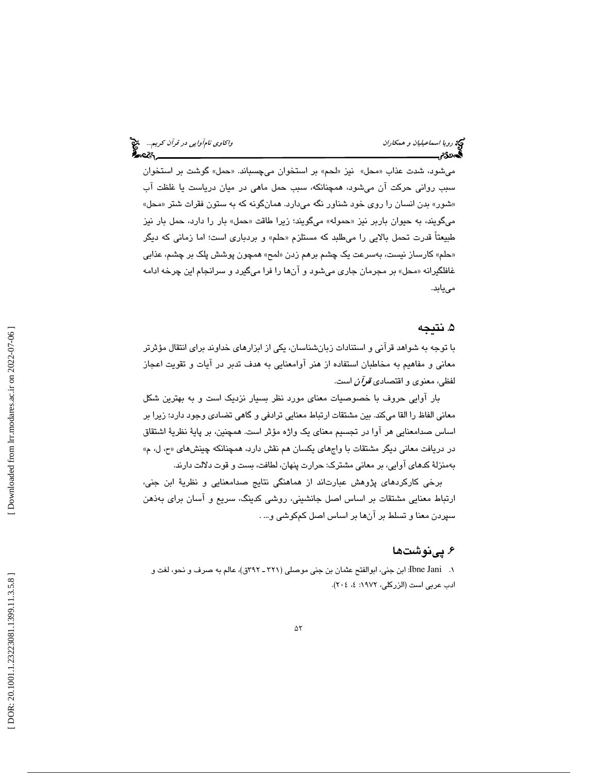میشود، شدت عذاب «محل» نیز «لحم» بر استخوان میچسباند. «حمل» گوشت بر استخوان سبب روانی حرکت ان میشود، همچنانکه، سبب حمل ماهی در میان دریاست یا غلظت اب «شور» بدن انسان را روی خود شناور نگه میدارد. همانگونه که به ستون فقرات شتر «محل» میگویند، به حیوان باربر نیز «حموله» میگویند؛ زیرا طاقت «حمل» بار را دارد، حمل بار نیز طبیعتاً قدرت تحمل بالایی را میطلبد که مستلزم «حلم» و بردباری است؛ اما زمانی که دیگر «حلم» كارساز نيست، بەسرعت يک چشم برهم زدن «لمح» همچون پوشش پلک بر چشم، عذاب*ی* غافلگیرانه «محل» بر مجرمان جاری میشود و انها را فرا میگیرد و سرانجام این چرخه ادامه مى يابد.

### ۵. نتيجه

با توجه به شواهد قرآني و استنادات زبانشناسان، يكي از ابزارهاي خداوند براي انتقال مؤثرتر معاني و مفاهيم به مخاطبان استفاده از هنر آوامعنايي به هدف تدبر در آيات و تقويت اعجاز لفظي، معنوي و اقتصادي *قرآن* است.

بار اوايي حروف با خصوصيات معناى مورد نظر بسيار نزديک است و به بهترين شکل معاني الفاظ را القا ميكند. بين مشتقات ارتباط معنايي ترادفي و گاهي تضادي وجود دارد؛ زيرا بر اساس صدامعنايي هر اوا در تجسيم معناى يک واژه مؤثر است. همچنين، بر پايهٔ نظريهٔ اشتقاق در دريافت معاني ديگر مشتقات با واجهاي يكسان هم نقش دارد، همچنانكه چينشهاي «ح، ل، م» بهمنزلهٔ كدهاي آوايي، بر معاني مشترک: حرارت پنهان، لطافت، بست و قوت دلالت دارند.

برخی کارکردهای پژوهش عبارتاند از هماهنگی نتایج صدامعنایی و نظریهٔ ابن جنی، ارتباط معنایی مشتقات بر اساس اصل جانشینی، روشی کدینگ، سریع و اسان برای بهذهن سپردن معنا و تسلط بر آنها بر اساس اصل كمكوشى و… .

## ۶. يېنوشتها

1. Jani Ibne: ابن جنى، ابوالفتح عثمان بن جنى موصل ( ي 321 ـ 392ق)، عالم به صرف و نحو، لغت و ادب عربي است (الزركلي، ١٩٧٢: ٤، ٢٠٤).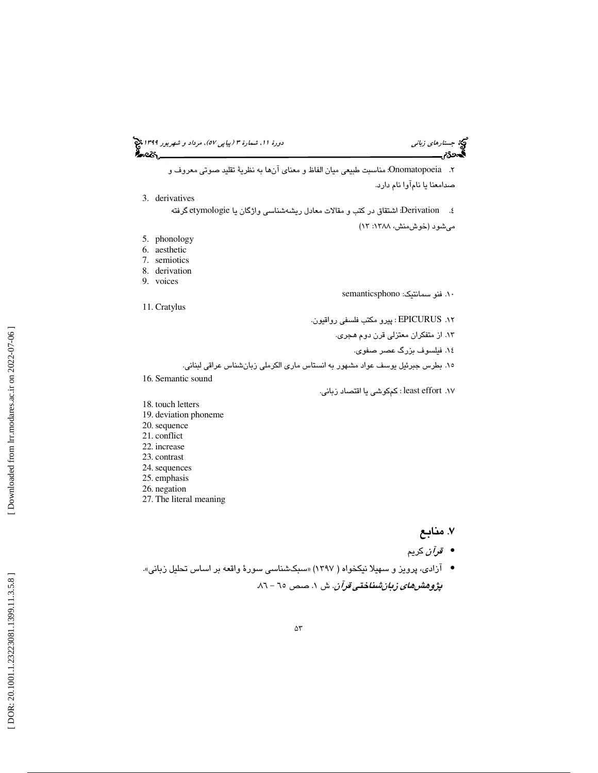جستارها*ي زباني (هي دورة 1391 هـ* مرداد و شهريور 1191 هجري 1394 هجريور 1394 هجريور 1394 هجريور 1394 هجريور 1394

۲. Onomatopoeia: مناسبت طبيعى ميان الفاظ و معناى آنها به نظرية تقليد صوتى معروف و<br>صدامعنا يا نامآوا نام دارد.

3. derivatives

٤. Derivation: اشتقاق در كتب و مقالات معادل ريشهشناسي واژگان يا etymologie گرفته میشود (خوش،منش، ۱۳۸۸: ۱۳)

- 5. phonology
- 6. aesthetic
- 7. semiotics
- 8. derivation 9. voices
- 

semanticsphono : 10. فنو سمانتيك

11. Cratylus

١٢. EPICURUS : پیرو مكتب فلسفي رواقيون.

۱۳. از متفكران معتزلي قرن دوم *هجري.* 

١٤. فيلسوف بزرگ عصر صفوي.

- 10. بطرس جبرئيل يوسف عواد مشهور به انستاس ماري الكرملي زبانشناس عراقي لبناني.
- 16. Semantic sound

١٧. least effort : كمكوشي يا اقتصاد زباني.

- 18. touch letters
- 19. deviation phoneme 20. sequence
- 21. conflict
- 22. increase
- 23. contrast
- 24. sequences
- 25. emphasis
- 26. negation
- 27. The literal meaning

## . 7 منابع

- قرآن كريم •
- آزادی، پرویز و سهیلا نیکخواه ( ۱۳۹۷) «سبکشناسی سورهٔ واقعه بر اساس تحلیل زبانی». *پژوهشهای زبانشناختی قرآن*. ش ۱. صص ۲۰ – ۸۱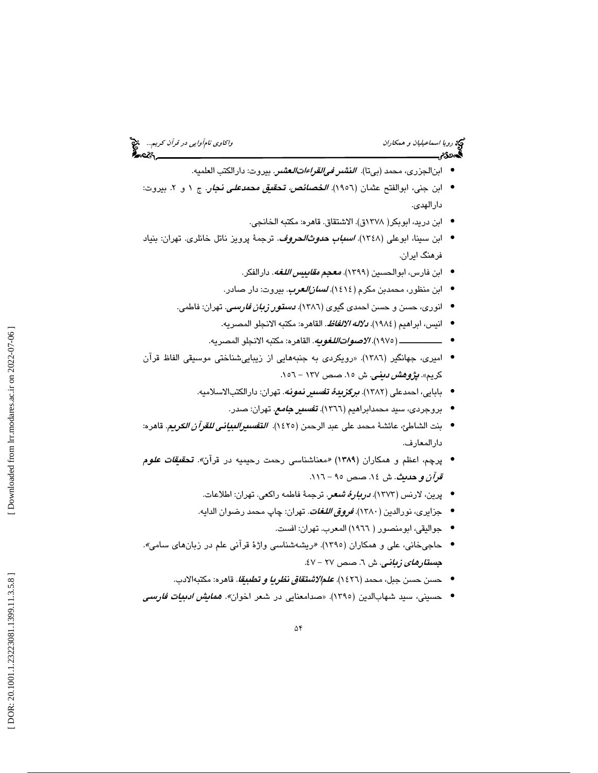# رويا اسماعيليان و همكاران واكاوي نامآوايي در قرآن كريم... الميخ<br>المحمدى:<br>المحمدى: واكاد المسلمان واكاد المسلمان المسلمان المسلمان واكاد المسلمان واكاد المسلمان والمسلمان والمسلمان وال

- ابنالجزري، محمد (بيتا). *النشر في القراءات العشر*. بيروت: دارالكتب العلميه.
- ابن جني، ابوالفتح عثمان (١٩٥٦). *الخصائص، تحقيق محمدعلى نجار*. ج ١ و ٢. بيروت: دارالهدي.
	- ابن دريد، ابوبكر( ١٣٧٨ق). الاشتقاق. قاهره: مكتبه الخانجي.
- ابن سينا، ابوعلى (١٣٤٨). *ا<mark>سباب حدوث/لحروف</mark>.* ترجمهٔ پرويز ناتل خانلرى. تهران: بنياد فرهنگ ايران.
	- ابن فارس، ابوالحسين (١٣٩٩). *معجم مقاييس اللغه*. دارالفكر.
	- ابن منظور، محمدبن مكرم (١٤١٤)*. ل<mark>سان/لعرب</mark>.* بيروت: دار صادر.
	- انوری، حسن و حسن احمدی گیوی (١٣٨٦). *دستور زبان فارسی.* تهران: فاطمی.
		- انيس، ابراهيم (١٩٨٤). *دلاله الالفاظ*. القاهره: مكتبه الانجلو المصريه.
		- ـــــــــــــــ ( 1975). الاصواتاللغويه. القاهره: مكتبه الانجلو المصريه. •
- اميري، جهانگير ( 1386 «). رويكردي به جنبههايي از زيباييشناختي موسيقي الفاظ قرآن كريم». *پژوهش ديني.* ش ١٥. صص ١٣٧ – ١٥٦.
	- بابايي، احمدعلي (١٣٨٢). *برگزيدهٔ تفسير نمونه.* تهران: دارالكتبالاسلاميه.
		- بروجردی، سید محمدابراهیم (١٣٦٦). **تف***سیر جامع***.** تهران: صدر.
- بنت الشاطئ، عائشةً محمد على عبد الرحمن (١٤٢٥). ا*للقصيو البياني للقرآن الكريم.* قاهره: دارالمعارف.
- پرچم، اعظم و همکاران (۱۳۸۹) «معناشناسی رحمت رحیمیه در قرآن*». تحقیقات علوم*  $311 - 90$  قرآن و حديث. ش ١٤. صص - ٩٥ - ١١٦.
	- پرين، لارنس ( 1373). دربارة شعر. ترجمة فاطمه راكعي. تهران: اطلاعات. •
	- جزایری، نورالدین ( ۱۳۸۰). *ف<mark>ر<i>وق اللغات.* تهران: چاپ محمد رضوان الد</mark>ایه.
		- جواليقي، ابومنصور ( 1966) المعرب. تهران: افست. •
- حاجیخانی، علی و همکاران (١٣٩٥). «ریشهشناسی واژهٔ قرآنی علم در زبانهای سامی». ج*ستارهای زبانی*. ش ٦. صص ٢٧ – ٤٧.
	- حسن حسن جبل، محمد (١٤٢٦). *علمالاشتقاق نظريا و تطبيقا*. قاهره: مكتبهالادب.
- حسینی، سید شهابالدین (١٣٩٥). «صدامعنایی در شعر اخوان*». همایش ادبیات فارسی*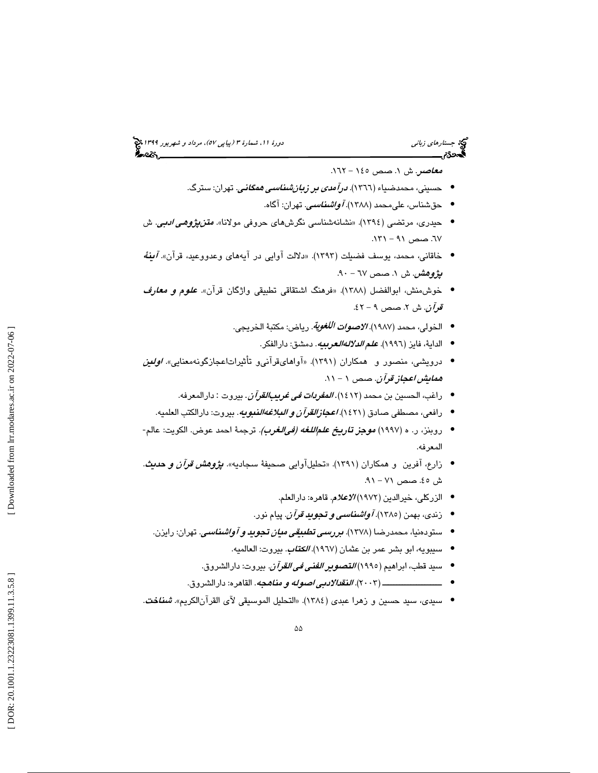## جستارها*ي زباني (هي دورة 1391 هـ* مرداد و شهريور 1191 هجري 1394 هجريور 1394 هجريور 1394 هجريور 1394 هجريور 1394

*معاصر*. ش ۱. صص ۱٤٥ – ۱٦٢.

- حسینی، محمدضیاء (١٣٦٦). *درآمدی بر زبانشناسی همگانی*. تهران: سترگ.
	- حقشناس، علىمحمد (١٣٨٨). *آواشناسي*. تهران: آگاه.
- حیدری، مرتضی (١٣٩٤). «نشانهشناسی نگرشهای حروفی مولانا». *متنپژو<i>هی ادبی***.** ش ٦٧. صص ٩١ – ١٣١.
- خاقانی، محمد، یوسف فضیلت (۱۳۹۳). «دلالت آوایی در آیههای وعدووعید، قرآن*». آینهٔ* **پژو***هش.* **ش ۱. صص ٦**٧ – ٩٠.
- خوش‰ش، ابوالفضل (١٣٨٨). «فرهنگ اشتقاقی تطبیقی واژگان قرآن». *علوم و معارف* ق*وآن*. ش ۲. صص ۹ – ٤٢.
	- الخولي، محمد (١٩٨٧). *الاصوات اللغوية.* رياض: مكتبة الخريجي.
		- الداية، فايز (١٩٩٦). *علم الدلالهالعربيه*. دمشق: دارالفكر.
- درویشی، منصور و همکاران (۱۳۹۱). «آواهایقرآنیو تأثیراتاعجازگونهمعنایی» *اولئین* ه*مايش اعجاز قرآن*. صص ١ – ١١.
	- راغب، الحسين بن محمد (١٤١٢). *المفردات في غريبِ القرآن*. بيروت : دارالمعرفه.
	- رافعي، مصطفي صادق ( 1421). اعجازالقرآن و البلاغهالنبويه. بيروت: دارالكتب العلميه. •
- روبنز، ر. ه (١٩٩٧) *موجز تاريخ علم اللغه (في الغرب).* **تر**جمهٔ احمد عوض. الكويت: عالم-المعرفه.
- زارع، آفرین و همکاران (۱۳۹۱). «تحلیلآوایی صحیفهٔ سجادیه». *پژوهش قرآن و حدیث*. ش ٤٥. صص ٧١ – ٩١.
	- الزركلي، خيرالدين ( 1972) الاعلام. قاهره: دارالعلم. •
	- زندي، بهمن (١٣٨٥). *آواشناسي و تجويد قرآن.* **پ**يام نور.
	- ستودهنيا، محمدرضا (١٣٧٨). *بررسمي تطبيقي ميان تجويد و آواشناسي*. تهران: رايزن.
		- سيبويه، ابو بشر عمر بن عثمان (١٩٦٧). *الك<mark>تاب</mark>.* بيروت: العالميه.
		- سيد قطب، ابراهيم (١٩٩٥) *التصوير الفني في القرآن.* بيروت: دارالشروق.
		- ـــــــــــــــــــــ (2003). النقدالادبي اصوله و مناهجه. القاهره: دارالشروق. •
- سيدي، سيد حسين و زهرا عبدي (١٣٨٤). «التحليل الموسيقي لآي القرآنالكريم». *شناخت*.

 $\Delta\Delta$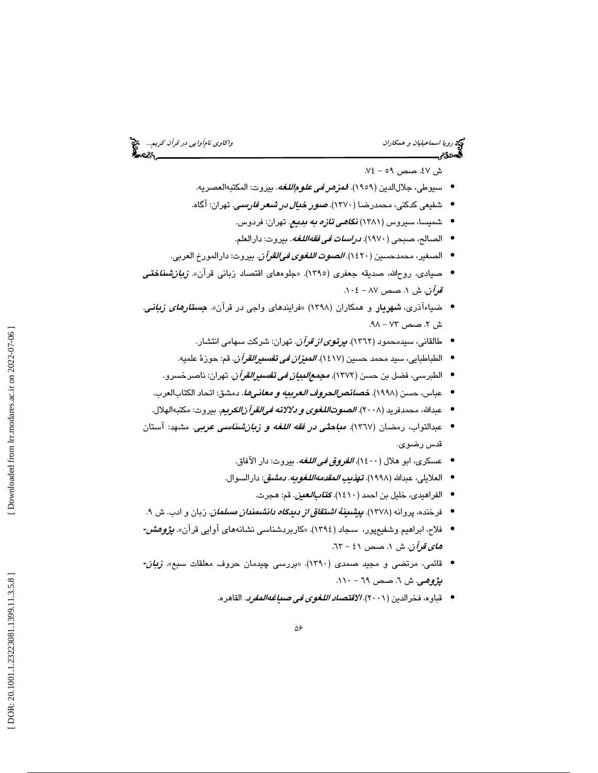ريم<br>كرد رويا *اسماعيليان و همكاران* استخداران واكاوي نامآواي*ي در قرآن كريم...*... پنج<br>**الس**مح**دی الس**مانی السمانی السمانی السمانی السمانی السمانی السمانی السمانی السمانی السمانی السمانی السمانی السما

ش ٤٧. صص ٥٩ - ٧٤.

- سيوطي، جلالالدين (١٩٥٩). ا*لمزهر في علوم|للغه*. بيروت: المكتبهالعصريه.
- شفیعی کدکنی، محمدرضا ( ۱۳۷۰). *صور خیال در شعر فارسی.* تهران: آگاه.
	- شمیسا، سیروس (۱۳۸۱) **ن***گاهی تازه به بدیع.* **ت**هران: فردوس.
		- الصالح، صبحي (١٩٧٠). *دراسات في فقهاللغه*. بيروت: دارالعلم.
- الصغير، محمدحسين (١٤٢٠)*. الصوت اللغوي في القرآن*. بيروت: دارالمورخ العربي.
- صیادی، روحالله، صدیقه جعفری (١٣٩٥). «جلوههای اقتصاد زبانی قرآن». *زبان شناختی* قم*رآن*. ش ۱. صص ۸۷ – ۰۱۰٤
- ضیاءآذری، <mark>شهریار</mark> و همکاران (۱۳۹۸) «فرایندهای واجی در قرآن». *جستارهای زبانی.* ش ۲. صص ۷۳ – ۹۸.
	- طالقانى، سيدمحمود (١٣٦٢). *پرتوى از قرآن*. تهران: شركت سهامى انتشار.
	- الطباطبايي، سيد محمد حسين (١٤١٧)*. الميزان في تف<i>سيرالقرآن***. ق**م: حوزهٔ علميه.
	- الطبرسى، فضل بن حسن (١٣٧٢). *مج<i>معال***لب***يان في تفسيرالقرآن***. ت**هران: ناصرخسرو.
	- عباس، حسن (١٩٩٨). *خصائص الحروف العربيه و معانيها.* دمشق: اتحاد الكتابالعرب.
	- عبدالله، محمدفريد (٢٠٠٨). *الصوتااللغوي و دلالاته في القرآ زالكريم*. بيروت: مكتبهالهلال.
- عبدالتواب، رمضان (١٣٦٧). *مباحث<i>ي در فقه اللغه و زبانشناسي عربي.* مشهد: آستان قدس رضوي.
	- عسكري، ابو هلال (1400). الفروق في اللغه. بيروت: دار الآفاق. •
	- العلايلي، عبدالله (١٩٩٨). **ته***ذيب المقدمه اللغويه. دمشق***:** دارالسوال.
		- الفراهيدى، خليل بن احمد (١٤١٠). *كت<i>ابالعين***. قم: ه**جرت.
	- فرخنده، پروانه (۱۳۷۸). *<mark>پیشىین<i>ۀ اشتقاق از دیدگاه دانشىمندان مسلمان*.</mark> زبان و ادب. ش ۹.
- فلاح، ابراهیم وشفیع<sub>ه</sub>پور، سجاد (١٣٩٤). «کاربردشناسی نشانههای آوایی قرآن». *پژوهش-هاي قوآن*. ش ۱. صص ٤١ - ٦٣.
- قائمی، مرتضی و مجید صمدی (۱۳۹۰). «بررسی چیدمان حروف معلقات سبع». *زبان-***پژوهی**. ش ٦. صص ٦٩ – ١١٠.
	- قباوه، فخرالدين (٢٠٠١). *الاقتصاد اللغوى في ص<mark>ياغه المفرد</mark>.* القاهره.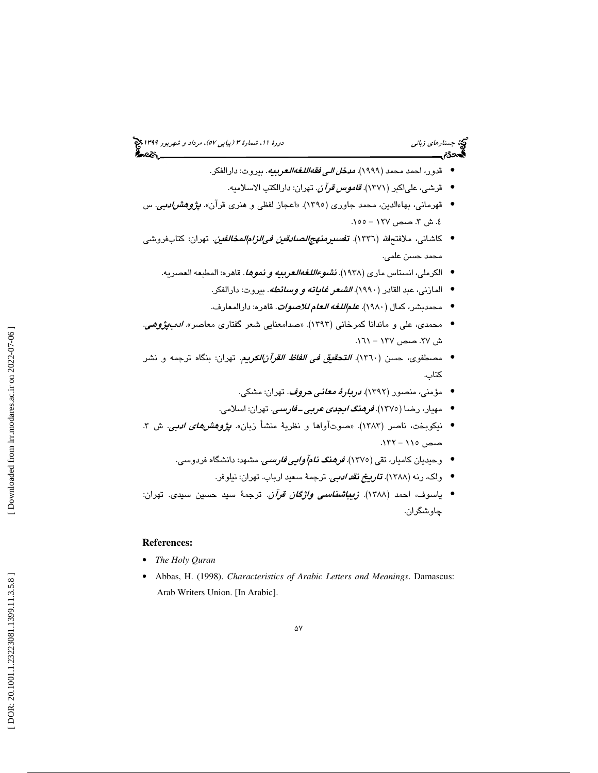- قدور، احمد محمد (١٩٩٩). *مدخ<i>ل الي فقهاللغهالعربيه***.** بيروت: دارالفكر.
	- قرشي، علياكبر ( 1371). قاموس قرآن. تهران: دارالكتب الاسلاميه. •
- قهرمانی، بهاءالدین، محمد جاوری (۱۳۹۰). «اعجاز لفظی و هنری قرآن». *پژوهشرادبی*. س ٤. ش ٣. صص ١٢٧ – ١٥٥.
- كاشانى، ملافتحالله (١٣٣٦). *تفسىرمنهجالصادقين فىالزام|لمخالفين*. تهران: كتابفروشى محمد حسن علمي.
	- الكرملي، انستاس ماري (١٩٣٨). *نشوءاللغهالعربيه و نموها*. قاهره: المطبعه العصريه.
		- المازني، عبد القادر (١٩٩٠). *الشعر غاياته و وسائطه*. بيروت: دارالفكر.
		- محمدبشر، كمال (١٩٨٠). *علم|للغه العام للاصوات*. قاهره: دارالمعارف.
- محمدی، علی و ماندانا کمرخانی (۱۳۹۳). «صدامعنایی شعر گفتاری معاصر». *ادبپژوهی*. ش ٢٧. صص ١٢٧ - ١٦١.
- مصطفوي، حسن (1360). التحقيق في الفاظ القرآنالكريم. تهران: بنگاه ترجمه و نشر كتاب.
	- مؤمني، منصور (١٣٩٢). *دربارهٔ معاني حروف*. تهران: مشكي. •
	- مهيار، رضا (1375). فرهنگ ابجدى عربى ـ فارسى. تهران: اسلامي. •
- نيكوبخت، ناصر (١٣٨٣). «صوتآواها و نظرية منشأ زبان». *پژوهشهاي ادبي*. ش ٣. صص 115 - 132 .
	- وحیدیان کامیار، تقی (١٣٧٥). *فرهنگ نامآوایی فارسی.* مشهد: دانشگاه فردوسی.
		- ولک، رنه (١٣٨٨). *تاريخ نقد ادبي*. ترجمهٔ سعيد ارباب. تهران: نيلوفر.
- ياسوف، احمد (1388). زيباشناسي واژگان قرآن. ترجمة سيد حسين سيدي. تهران: چاوشگران.

### **References:**

- *The Holy Quran*
- Abbas, H. (1998). *Characteristics of Arabic Letters and Meanings*. Damascus: Arab Writers Union. [In Arabic].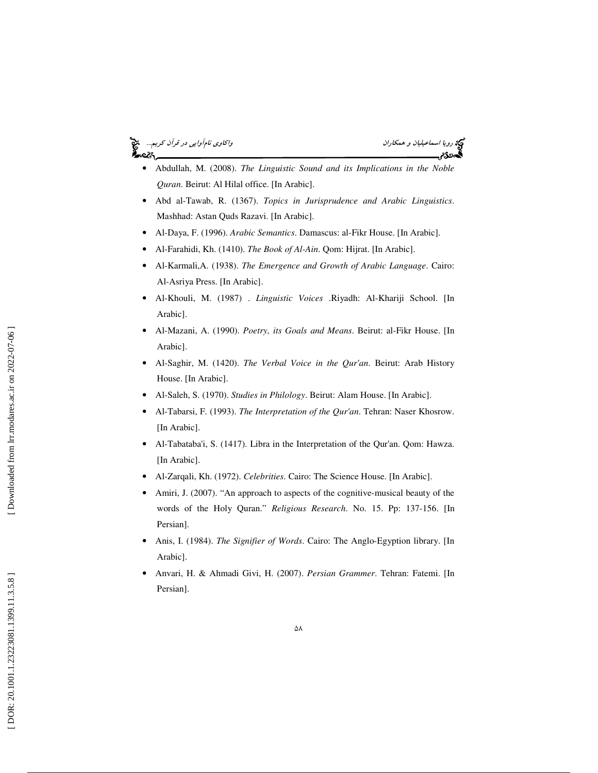# رويا اسماعيليان و همكاران اسماعيليان و همكاران واكاوي نامآوايي در قرآن كريم...<br>المجموعة

- Abdullah, M. (2008). *The Linguistic Sound and its Implications in the Noble Quran*. Beirut: Al Hilal office. [In Arabic].
- Abd al-Tawab, R. (1367). *Topics in Jurisprudence and Arabic Linguistics*. Mashhad: Astan Quds Razavi. [In Arabic].
- Al-Daya, F. (1996). *Arabic Semantics*. Damascus: al-Fikr House. [In Arabic].
- Al-Farahidi, Kh. (1410). *The Book of Al-Ain*. Qom: Hijrat. [In Arabic].
- Al-Karmali,A. (1938). *The Emergence and Growth of Arabic Language*. Cairo: Al-Asriya Press. [In Arabic].
- Al-Khouli, M. (1987) . *Linguistic Voices* .Riyadh: Al-Khariji School. [In Arabic].
- Al-Mazani, A. (1990). *Poetry, its Goals and Means*. Beirut: al-Fikr House. [In Arabic].
- Al-Saghir, M. (1420). *The Verbal Voice in the Qur'an*. Beirut: Arab History House. [In Arabic].
- Al-Saleh, S. (1970). *Studies in Philology*. Beirut: Alam House. [In Arabic].
- Al-Tabarsi, F. (1993). *The Interpretation of the Qur'an*. Tehran: Naser Khosrow. [In Arabic].
- Al-Tabataba'i, S. (1417). Libra in the Interpretation of the Qur'an. Qom: Hawza. [In Arabic].
- Al-Zarqali, Kh. (1972). *Celebrities*. Cairo: The Science House. [In Arabic].
- Amiri, J. (2007). "An approach to aspects of the cognitive-musical beauty of the words of the Holy Quran." *Religious Research*. No. 15. Pp: 137-156. [In Persian].
- Anis, I. (1984). *The Signifier of Words*. Cairo: The Anglo-Egyption library. [In Arabic].
- Anvari, H. & Ahmadi Givi, H. (2007). *Persian Grammer*. Tehran: Fatemi. [In Persian].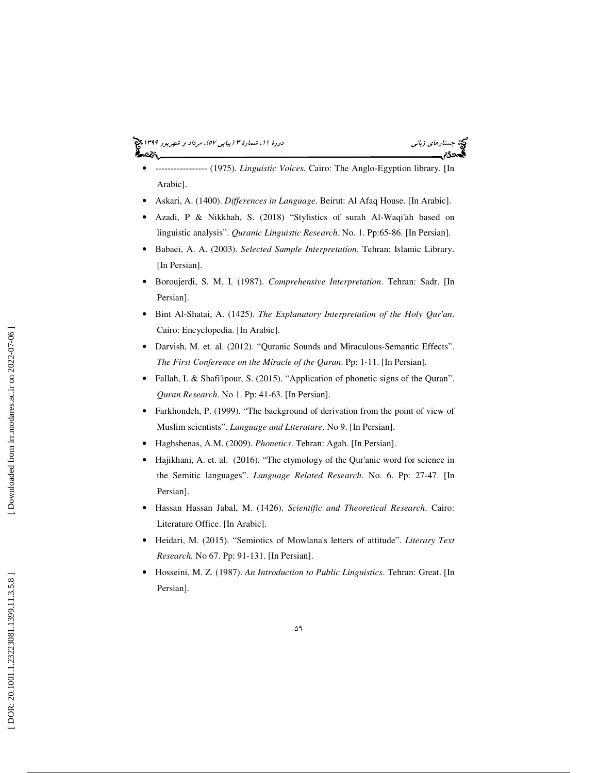- ----------------- (1975). *Linguistic Voices*. Cairo: The Anglo-Egyption library. [In Arabic].
- Askari, A. (1400). *Differences in Language*. Beirut: Al Afaq House. [In Arabic].
- Azadi, P & Nikkhah, S. (2018) "Stylistics of surah Al-Waqi'ah based on linguistic analysis". *Quranic Linguistic Research*. No. 1. Pp:65-86. [In Persian].
- Babaei, A. A. (2003). *Selected Sample Interpretation*. Tehran: Islamic Library. [In Persian].
- Boroujerdi, S. M. I. (1987). *Comprehensive Interpretation*. Tehran: Sadr. [In Persian].
- Bint Al-Shatai, A. (1425). *The Explanatory Interpretation of the Holy Qur'an*. Cairo: Encyclopedia. [In Arabic].
- Darvish, M. et. al. (2012). "Quranic Sounds and Miraculous-Semantic Effects". *The First Conference on the Miracle of the Quran*. Pp: 1-11. [In Persian].
- Fallah, I. & Shafi'ipour, S. (2015). "Application of phonetic signs of the Quran". *Quran Research*. No 1. Pp: 41-63. [In Persian].
- Farkhondeh, P. (1999). "The background of derivation from the point of view of Muslim scientists". *Language and Literature*. No 9. [In Persian].
- Haghshenas, A.M. (2009). *Phonetics*. Tehran: Agah. [In Persian].
- Hajikhani, A. et. al. (2016). "The etymology of the Our'anic word for science in the Semitic languages". *Language Related Research*. No. 6. Pp: 27-47. [In Persian].
- Hassan Hassan Jabal, M. (1426). *Scientific and Theoretical Research*. Cairo: Literature Office. [In Arabic].
- Heidari, M. (2015). "Semiotics of Mowlana's letters of attitude". *Literary Text Research.* No 67. Pp: 91-131. [In Persian].
- Hosseini, M. Z. (1987). *An Introduction to Public Linguistics*. Tehran: Great. [In Persian].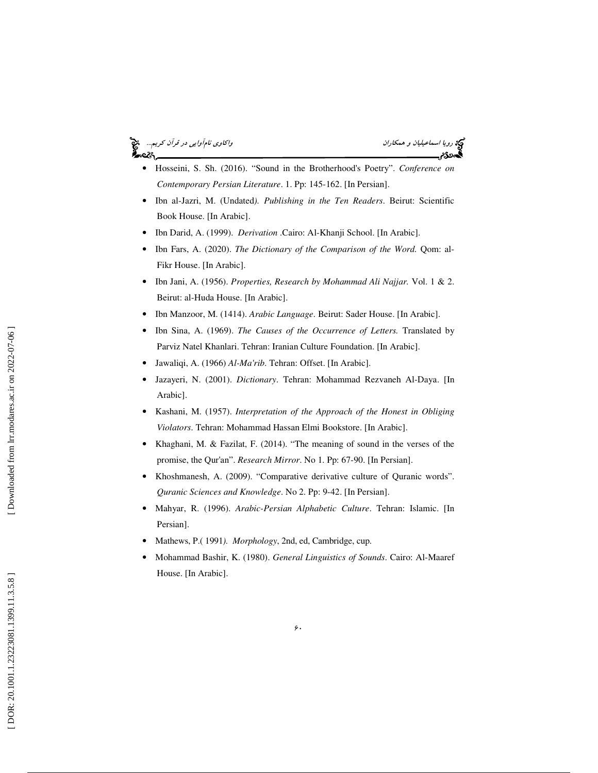# ه.<br>د



- Hosseini, S. Sh. (2016). "Sound in the Brotherhood's Poetry". *Conference on Contemporary Persian Literature*. 1. Pp: 145-162. [In Persian].
- Ibn al-Jazri, M. (Undated*). Publishing in the Ten Readers*. Beirut: Scientific Book House. [In Arabic].
- Ibn Darid, A. (1999). *Derivation* .Cairo: Al-Khanji School. [In Arabic].
- Ibn Fars, A. (2020). *The Dictionary of the Comparison of the Word*. *Qom: al-*Fikr House. [In Arabic].
- Ibn Jani, A. (1956). *Properties, Research by Mohammad Ali Najjar.* Vol. 1 & 2. Beirut: al-Huda House. [In Arabic].
- Ibn Manzoor, M. (1414). *Arabic Language*. Beirut: Sader House. [In Arabic].
- Ibn Sina, A. (1969). *The Causes of the Occurrence of Letters.* Translated by Parviz Natel Khanlari. Tehran: Iranian Culture Foundation. [In Arabic].
- Jawaliqi, A. (1966) *Al-Ma'rib*. Tehran: Offset. [In Arabic].
- Jazayeri, N. (2001). *Dictionary*. Tehran: Mohammad Rezvaneh Al-Daya. [In Arabic].
- Kashani, M. (1957). *Interpretation of the Approach of the Honest in Obliging Violators*. Tehran: Mohammad Hassan Elmi Bookstore. [In Arabic].
- Khaghani, M. & Fazilat, F. (2014). "The meaning of sound in the verses of the promise, the Qur'an". *Research Mirror*. No 1. Pp: 67-90. [In Persian].
- Khoshmanesh, A. (2009). "Comparative derivative culture of Quranic words". *Quranic Sciences and Knowledge*. No 2. Pp: 9-42. [In Persian].
- Mahyar, R. (1996). *Arabic-Persian Alphabetic Culture*. Tehran: Islamic. [In Persian].
- Mathews, P.( 1991*). Morphology*, 2nd, ed, Cambridge, cup.
- Mohammad Bashir, K. (1980). *General Linguistics of Sounds*. Cairo: Al-Maaref House. [In Arabic].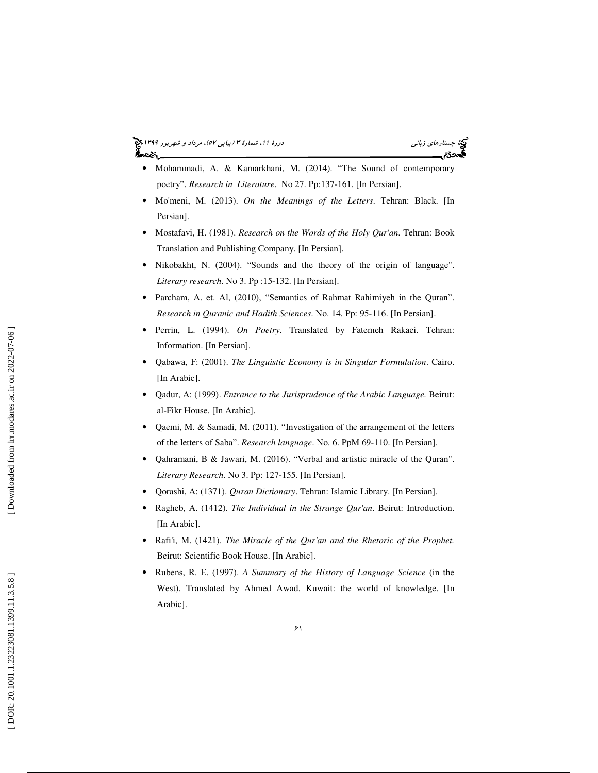## جستارها*ي زباني (هي دورة 1391 هـ* مرداد و شهريور 1191 هجري 1394 هجريور 1394 هجريور 1394 هجريور 1394 هجريور 1394



- Mohammadi, A. & Kamarkhani, M. (2014). "The Sound of contemporary poetry". *Research in Literature*. No 27. Pp:137-161. [In Persian].
- Mo'meni, M. (2013). *On the Meanings of the Letters*. Tehran: Black. [In Persian].
- Mostafavi, H. (1981). *Research on the Words of the Holy Qur'an*. Tehran: Book Translation and Publishing Company. [In Persian].
- Nikobakht, N. (2004). "Sounds and the theory of the origin of language". *Literary research*. No 3. Pp :15-132. [In Persian].
- Parcham, A. et. Al, (2010), "Semantics of Rahmat Rahimiyeh in the Quran". *Research in Quranic and Hadith Sciences*. No. 14. Pp: 95-116. [In Persian].
- Perrin, L. (1994). *On Poetry*. Translated by Fatemeh Rakaei. Tehran: Information. [In Persian].
- Qabawa, F: (2001). *The Linguistic Economy is in Singular Formulation*. Cairo. [In Arabic].
- Qadur, A: (1999). *Entrance to the Jurisprudence of the Arabic Language.* Beirut: al-Fikr House. [In Arabic].
- Qaemi, M. & Samadi, M. (2011). "Investigation of the arrangement of the letters of the letters of Saba". *Research language*. No. 6. PpM 69-110. [In Persian].
- Qahramani, B & Jawari, M. (2016). "Verbal and artistic miracle of the Quran". *Literary Research*. No 3. Pp: 127-155. [In Persian].
- Qorashi, A: (1371). *Quran Dictionary*. Tehran: Islamic Library. [In Persian].
- Ragheb, A. (1412). *The Individual in the Strange Qur'an*. Beirut: Introduction. [In Arabic].
- Rafi'i, M. (1421). *The Miracle of the Qur'an and the Rhetoric of the Prophet.* Beirut: Scientific Book House. [In Arabic].
- Rubens, R. E. (1997). *A Summary of the History of Language Science* (in the West). Translated by Ahmed Awad. Kuwait: the world of knowledge. [In Arabic].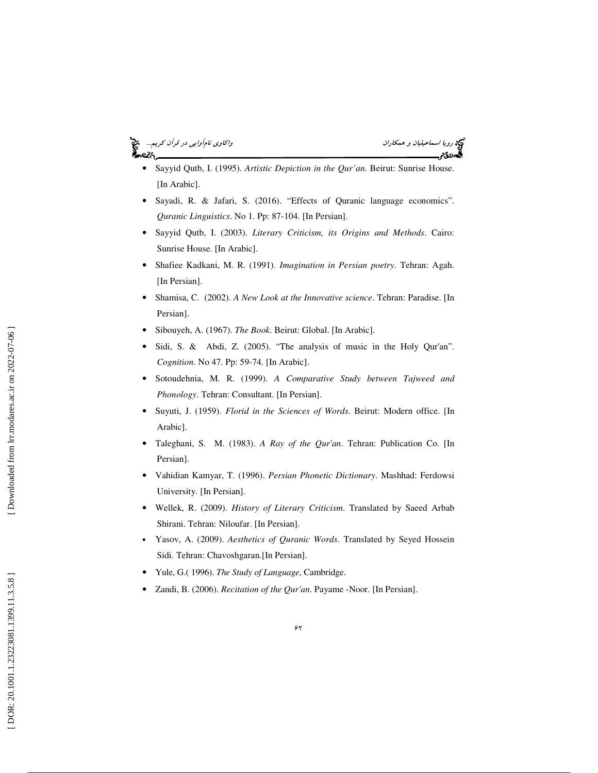# ريم رويا اسماعيليان و همكاران اسماعيليان و همكاران واكاوي نامآوايي در قرآن كريم...<br>**يجهدي م**صلح

- Sayyid Qutb, I. (1995). *Artistic Depiction in the Qur'an*. Beirut: Sunrise House. [In Arabic].
- Sayadi, R. & Jafari, S. (2016). "Effects of Quranic language economics". *Quranic Linguistics*. No 1. Pp: 87-104. [In Persian].
- Sayyid Qutb, I. (2003). *Literary Criticism, its Origins and Methods*. Cairo: Sunrise House. [In Arabic].
- Shafiee Kadkani, M. R. (1991). *Imagination in Persian poetry*. Tehran: Agah. [In Persian].
- Shamisa, C. (2002). *A New Look at the Innovative science*. Tehran: Paradise. [In Persian].
- Sibouyeh, A. (1967). *The Book*. Beirut: Global. [In Arabic].
- Sidi, S. & Abdi, Z. (2005). "The analysis of music in the Holy Qur'an". *Cognition*. No 47. Pp: 59-74. [In Arabic].
- Sotoudehnia, M. R. (1999). *A Comparative Study between Tajweed and Phonology*. Tehran: Consultant. [In Persian].
- Suyuti, J. (1959). *Florid in the Sciences of Words*. Beirut: Modern office. [In Arabic].
- Taleghani, S. M. (1983). *A Ray of the Qur'an*. Tehran: Publication Co. [In Persian].
- Vahidian Kamyar, T. (1996). *Persian Phonetic Dictionary*. Mashhad: Ferdowsi University. [In Persian].
- Wellek, R. (2009). *History of Literary Criticism*. Translated by Saeed Arbab Shirani. Tehran: Niloufar. [In Persian].
- Yasov, A. (2009). *Aesthetics of Quranic Words*. Translated by Seyed Hossein Sidi. Tehran: Chavoshgaran.[In Persian].
- Yule, G.( 1996). *The Study of Language*, Cambridge.
- Zandi, B. (2006). *Recitation of the Qur'an*. Payame -Noor. [In Persian].